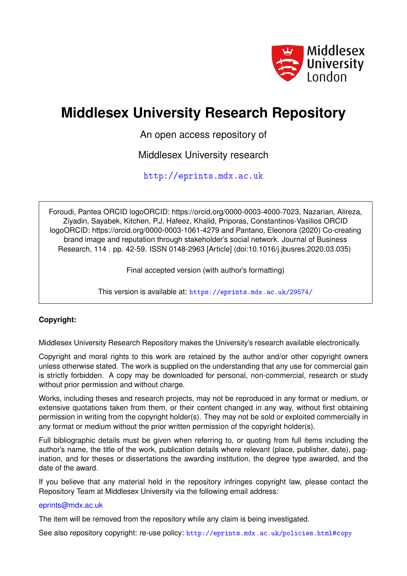

# **Middlesex University Research Repository**

An open access repository of

Middlesex University research

<http://eprints.mdx.ac.uk>

Foroudi, Pantea ORCID logoORCID: https://orcid.org/0000-0003-4000-7023, Nazarian, Alireza, Ziyadin, Sayabek, Kitchen, P.J, Hafeez, Khalid, Priporas, Constantinos-Vasilios ORCID logoORCID: https://orcid.org/0000-0003-1061-4279 and Pantano, Eleonora (2020) Co-creating brand image and reputation through stakeholder's social network. Journal of Business Research, 114 . pp. 42-59. ISSN 0148-2963 [Article] (doi:10.1016/j.jbusres.2020.03.035)

Final accepted version (with author's formatting)

This version is available at: <https://eprints.mdx.ac.uk/29574/>

### **Copyright:**

Middlesex University Research Repository makes the University's research available electronically.

Copyright and moral rights to this work are retained by the author and/or other copyright owners unless otherwise stated. The work is supplied on the understanding that any use for commercial gain is strictly forbidden. A copy may be downloaded for personal, non-commercial, research or study without prior permission and without charge.

Works, including theses and research projects, may not be reproduced in any format or medium, or extensive quotations taken from them, or their content changed in any way, without first obtaining permission in writing from the copyright holder(s). They may not be sold or exploited commercially in any format or medium without the prior written permission of the copyright holder(s).

Full bibliographic details must be given when referring to, or quoting from full items including the author's name, the title of the work, publication details where relevant (place, publisher, date), pagination, and for theses or dissertations the awarding institution, the degree type awarded, and the date of the award.

If you believe that any material held in the repository infringes copyright law, please contact the Repository Team at Middlesex University via the following email address:

#### [eprints@mdx.ac.uk](mailto:eprints@mdx.ac.uk)

The item will be removed from the repository while any claim is being investigated.

See also repository copyright: re-use policy: <http://eprints.mdx.ac.uk/policies.html#copy>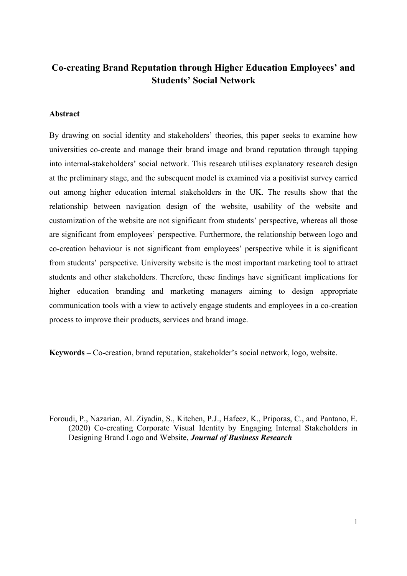# **Co-creating Brand Reputation through Higher Education Employees' and Students' Social Network**

#### **Abstract**

By drawing on social identity and stakeholders' theories, this paper seeks to examine how universities co-create and manage their brand image and brand reputation through tapping into internal-stakeholders' social network. This research utilises explanatory research design at the preliminary stage, and the subsequent model is examined via a positivist survey carried out among higher education internal stakeholders in the UK. The results show that the relationship between navigation design of the website, usability of the website and customization of the website are not significant from students' perspective, whereas all those are significant from employees' perspective. Furthermore, the relationship between logo and co-creation behaviour is not significant from employees' perspective while it is significant from students' perspective. University website is the most important marketing tool to attract students and other stakeholders. Therefore, these findings have significant implications for higher education branding and marketing managers aiming to design appropriate communication tools with a view to actively engage students and employees in a co-creation process to improve their products, services and brand image.

**Keywords –** Co-creation, brand reputation, stakeholder's social network, logo, website.

Foroudi, P., Nazarian, Al. Ziyadin, S., Kitchen, P.J., Hafeez, K., Priporas, C., and Pantano, E. (2020) Co-creating Corporate Visual Identity by Engaging Internal Stakeholders in Designing Brand Logo and Website, *Journal of Business Research*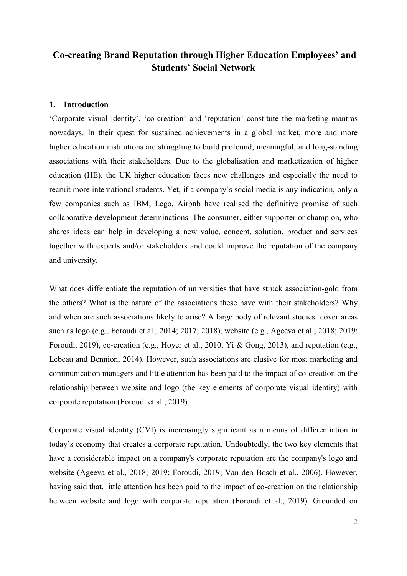## **Co-creating Brand Reputation through Higher Education Employees' and Students' Social Network**

#### **1. Introduction**

'Corporate visual identity', 'co-creation' and 'reputation' constitute the marketing mantras nowadays. In their quest for sustained achievements in a global market, more and more higher education institutions are struggling to build profound, meaningful, and long-standing associations with their stakeholders. Due to the globalisation and marketization of higher education (HE), the UK higher education faces new challenges and especially the need to recruit more international students. Yet, if a company's social media is any indication, only a few companies such as IBM, Lego, Airbnb have realised the definitive promise of such collaborative-development determinations. The consumer, either supporter or champion, who shares ideas can help in developing a new value, concept, solution, product and services together with experts and/or stakeholders and could improve the reputation of the company and university.

What does differentiate the reputation of universities that have struck association-gold from the others? What is the nature of the associations these have with their stakeholders? Why and when are such associations likely to arise? A large body of relevant studies cover areas such as logo (e.g., Foroudi et al., 2014; 2017; 2018), website (e.g., Ageeva et al., 2018; 2019; Foroudi, 2019), co-creation (e.g., Hoyer et al., 2010; Yi & Gong, 2013), and reputation (e.g., Lebeau and Bennion, 2014). However, such associations are elusive for most marketing and communication managers and little attention has been paid to the impact of co-creation on the relationship between website and logo (the key elements of corporate visual identity) with corporate reputation (Foroudi et al., 2019).

Corporate visual identity (CVI) is increasingly significant as a means of differentiation in today's economy that creates a corporate reputation. Undoubtedly, the two key elements that have a considerable impact on a company's corporate reputation are the company's logo and website (Ageeva et al., 2018; 2019; Foroudi, 2019; Van den Bosch et al., 2006). However, having said that, little attention has been paid to the impact of co-creation on the relationship between website and logo with corporate reputation (Foroudi et al., 2019). Grounded on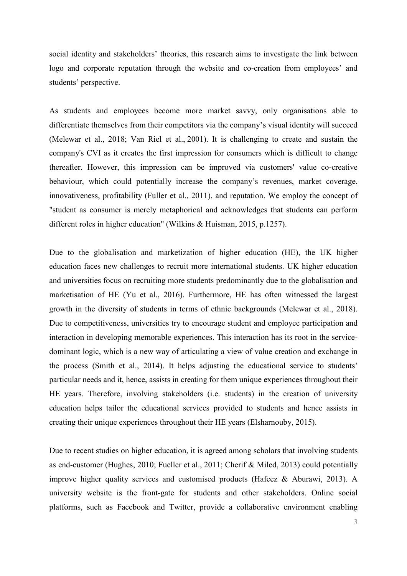social identity and stakeholders' theories, this research aims to investigate the link between logo and corporate reputation through the website and co-creation from employees' and students' perspective.

As students and employees become more market savvy, only organisations able to differentiate themselves from their competitors via the company's visual identity will succeed (Melewar et al., 2018; Van Riel et al., 2001). It is challenging to create and sustain the company's CVI as it creates the first impression for consumers which is difficult to change thereafter. However, this impression can be improved via customers' value co-creative behaviour, which could potentially increase the company's revenues, market coverage, innovativeness, profitability (Fuller et al., 2011), and reputation. We employ the concept of "student as consumer is merely metaphorical and acknowledges that students can perform different roles in higher education" (Wilkins & Huisman, 2015, p.1257).

Due to the globalisation and marketization of higher education (HE), the UK higher education faces new challenges to recruit more international students. UK higher education and universities focus on recruiting more students predominantly due to the globalisation and marketisation of HE (Yu et al., 2016). Furthermore, HE has often witnessed the largest growth in the diversity of students in terms of ethnic backgrounds (Melewar et al., 2018). Due to competitiveness, universities try to encourage student and employee participation and interaction in developing memorable experiences. This interaction has its root in the servicedominant logic, which is a new way of articulating a view of value creation and exchange in the process (Smith et al., 2014). It helps adjusting the educational service to students' particular needs and it, hence, assists in creating for them unique experiences throughout their HE years. Therefore, involving stakeholders (i.e. students) in the creation of university education helps tailor the educational services provided to students and hence assists in creating their unique experiences throughout their HE years (Elsharnouby, 2015).

Due to recent studies on higher education, it is agreed among scholars that involving students as end-customer (Hughes, 2010; Fueller et al., 2011; Cherif & Miled, 2013) could potentially improve higher quality services and customised products (Hafeez & Aburawi, 2013). A university website is the front-gate for students and other stakeholders. Online social platforms, such as Facebook and Twitter, provide a collaborative environment enabling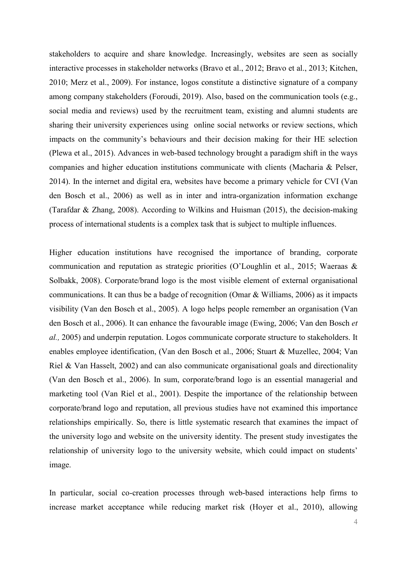stakeholders to acquire and share knowledge. Increasingly, websites are seen as socially interactive processes in stakeholder networks (Bravo et al., 2012; Bravo et al., 2013; Kitchen, 2010; Merz et al., 2009). For instance, logos constitute a distinctive signature of a company among company stakeholders (Foroudi, 2019). Also, based on the communication tools (e.g., social media and reviews) used by the recruitment team, existing and alumni students are sharing their university experiences using online social networks or review sections, which impacts on the community's behaviours and their decision making for their HE selection (Plewa et al., 2015). Advances in web-based technology brought a paradigm shift in the ways companies and higher education institutions communicate with clients (Macharia & Pelser, 2014). In the internet and digital era, websites have become a primary vehicle for CVI (Van den Bosch et al., 2006) as well as in inter and intra-organization information exchange (Tarafdar & Zhang, 2008). According to Wilkins and Huisman (2015), the decision-making process of international students is a complex task that is subject to multiple influences.

Higher education institutions have recognised the importance of branding, corporate communication and reputation as strategic priorities (O'Loughlin et al., 2015; Waeraas & Solbakk, 2008). Corporate/brand logo is the most visible element of external organisational communications. It can thus be a badge of recognition (Omar & Williams, 2006) as it impacts visibility (Van den Bosch et al., 2005). A logo helps people remember an organisation (Van den Bosch et al., 2006). It can enhance the favourable image (Ewing, 2006; Van den Bosch *et al.,* 2005) and underpin reputation. Logos communicate corporate structure to stakeholders. It enables employee identification, (Van den Bosch et al., 2006; Stuart & Muzellec, 2004; Van Riel & Van Hasselt, 2002) and can also communicate organisational goals and directionality (Van den Bosch et al., 2006). In sum, corporate/brand logo is an essential managerial and marketing tool (Van Riel et al., 2001). Despite the importance of the relationship between corporate/brand logo and reputation, all previous studies have not examined this importance relationships empirically. So, there is little systematic research that examines the impact of the university logo and website on the university identity. The present study investigates the relationship of university logo to the university website, which could impact on students' image.

In particular, social co-creation processes through web-based interactions help firms to increase market acceptance while reducing market risk (Hoyer et al., 2010), allowing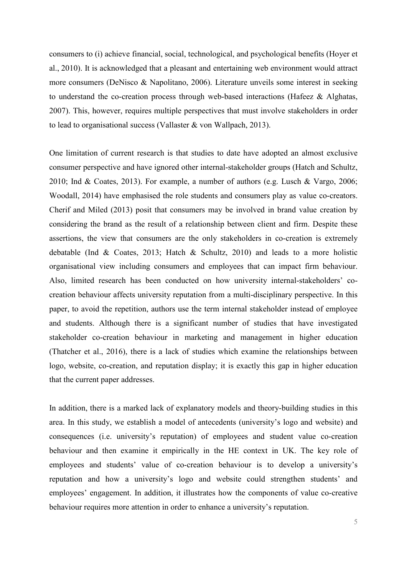consumers to (i) achieve financial, social, technological, and psychological benefits (Hoyer et al., 2010). It is acknowledged that a pleasant and entertaining web environment would attract more consumers (DeNisco & Napolitano, 2006). Literature unveils some interest in seeking to understand the co-creation process through web-based interactions (Hafeez & Alghatas, 2007). This, however, requires multiple perspectives that must involve stakeholders in order to lead to organisational success (Vallaster & von Wallpach, 2013).

One limitation of current research is that studies to date have adopted an almost exclusive consumer perspective and have ignored other internal-stakeholder groups (Hatch and Schultz, 2010; Ind & Coates, 2013). For example, a number of authors (e.g. Lusch & Vargo, 2006; Woodall, 2014) have emphasised the role students and consumers play as value co-creators. Cherif and Miled (2013) posit that consumers may be involved in brand value creation by considering the brand as the result of a relationship between client and firm. Despite these assertions, the view that consumers are the only stakeholders in co-creation is extremely debatable (Ind & Coates, 2013; Hatch & Schultz, 2010) and leads to a more holistic organisational view including consumers and employees that can impact firm behaviour. Also, limited research has been conducted on how university internal-stakeholders' cocreation behaviour affects university reputation from a multi-disciplinary perspective. In this paper, to avoid the repetition, authors use the term internal stakeholder instead of employee and students. Although there is a significant number of studies that have investigated stakeholder co-creation behaviour in marketing and management in higher education (Thatcher et al., 2016), there is a lack of studies which examine the relationships between logo, website, co-creation, and reputation display; it is exactly this gap in higher education that the current paper addresses.

In addition, there is a marked lack of explanatory models and theory-building studies in this area. In this study, we establish a model of antecedents (university's logo and website) and consequences (i.e. university's reputation) of employees and student value co-creation behaviour and then examine it empirically in the HE context in UK. The key role of employees and students' value of co-creation behaviour is to develop a university's reputation and how a university's logo and website could strengthen students' and employees' engagement. In addition, it illustrates how the components of value co-creative behaviour requires more attention in order to enhance a university's reputation.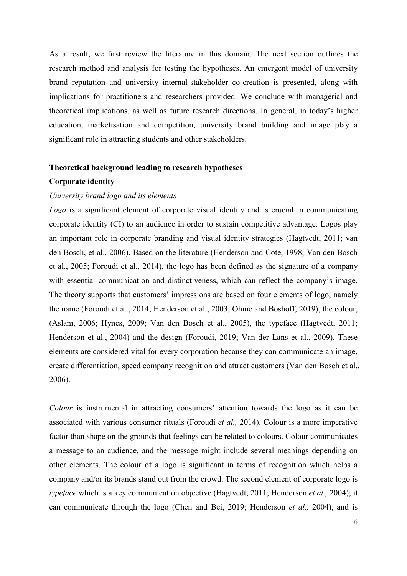As a result, we first review the literature in this domain. The next section outlines the research method and analysis for testing the hypotheses. An emergent model of university brand reputation and university internal-stakeholder co-creation is presented, along with implications for practitioners and researchers provided. We conclude with managerial and theoretical implications, as well as future research directions. In general, in today's higher education, marketisation and competition, university brand building and image play a significant role in attracting students and other stakeholders.

#### **Theoretical background leading to research hypotheses**

#### **Corporate identity**

#### *University brand logo and its elements*

*Logo* is a significant element of corporate visual identity and is crucial in communicating corporate identity (CI) to an audience in order to sustain competitive advantage. Logos play an important role in corporate branding and visual identity strategies (Hagtvedt, 2011; van den Bosch, et al., 2006). Based on the literature (Henderson and Cote, 1998; Van den Bosch et al., 2005; Foroudi et al., 2014), the logo has been defined as the signature of a company with essential communication and distinctiveness, which can reflect the company's image. The theory supports that customers' impressions are based on four elements of logo, namely the name (Foroudi et al., 2014; Henderson et al., 2003; Ohme and Boshoff, 2019), the colour, (Aslam, 2006; Hynes, 2009; Van den Bosch et al., 2005), the typeface (Hagtvedt, 2011; Henderson et al., 2004) and the design (Foroudi, 2019; Van der Lans et al., 2009). These elements are considered vital for every corporation because they can communicate an image, create differentiation, speed company recognition and attract customers (Van den Bosch et al., 2006).

*Colour* is instrumental in attracting consumers' attention towards the logo as it can be associated with various consumer rituals (Foroudi *et al.,* 2014). Colour is a more imperative factor than shape on the grounds that feelings can be related to colours. Colour communicates a message to an audience, and the message might include several meanings depending on other elements. The colour of a logo is significant in terms of recognition which helps a company and/or its brands stand out from the crowd. The second element of corporate logo is *typeface* which is a key communication objective (Hagtvedt, 2011; Henderson *et al.,* 2004); it can communicate through the logo (Chen and Bei, 2019; Henderson *et al.,* 2004), and is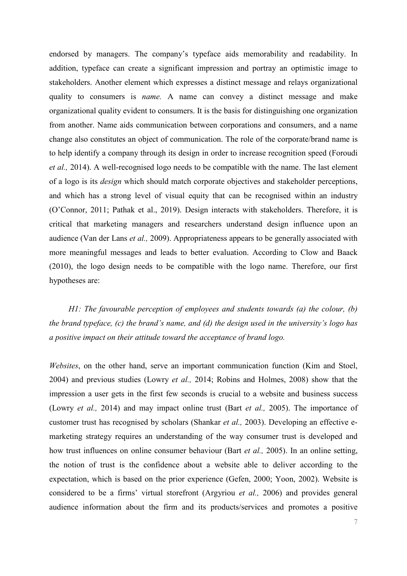endorsed by managers. The company's typeface aids memorability and readability. In addition, typeface can create a significant impression and portray an optimistic image to stakeholders. Another element which expresses a distinct message and relays organizational quality to consumers is *name.* A name can convey a distinct message and make organizational quality evident to consumers. It is the basis for distinguishing one organization from another. Name aids communication between corporations and consumers, and a name change also constitutes an object of communication. The role of the corporate/brand name is to help identify a company through its design in order to increase recognition speed (Foroudi *et al.,* 2014). A well-recognised logo needs to be compatible with the name. The last element of a logo is its *design* which should match corporate objectives and stakeholder perceptions, and which has a strong level of visual equity that can be recognised within an industry (O'Connor, 2011; Pathak et al., 2019). Design interacts with stakeholders. Therefore, it is critical that marketing managers and researchers understand design influence upon an audience (Van der Lans *et al.,* 2009). Appropriateness appears to be generally associated with more meaningful messages and leads to better evaluation. According to Clow and Baack (2010), the logo design needs to be compatible with the logo name. Therefore, our first hypotheses are:

*H1: The favourable perception of employees and students towards (a) the colour, (b) the brand typeface, (c) the brand's name, and (d) the design used in the university's logo has a positive impact on their attitude toward the acceptance of brand logo.*

*Websites*, on the other hand, serve an important communication function (Kim and Stoel, 2004) and previous studies (Lowry *et al.,* 2014; Robins and Holmes, 2008) show that the impression a user gets in the first few seconds is crucial to a website and business success (Lowry *et al.,* 2014) and may impact online trust (Bart *et al.,* 2005). The importance of customer trust has recognised by scholars (Shankar *et al.,* 2003). Developing an effective emarketing strategy requires an understanding of the way consumer trust is developed and how trust influences on online consumer behaviour (Bart *et al.,* 2005). In an online setting, the notion of trust is the confidence about a website able to deliver according to the expectation, which is based on the prior experience (Gefen, 2000; Yoon, 2002). Website is considered to be a firms' virtual storefront (Argyriou *et al.,* 2006) and provides general audience information about the firm and its products/services and promotes a positive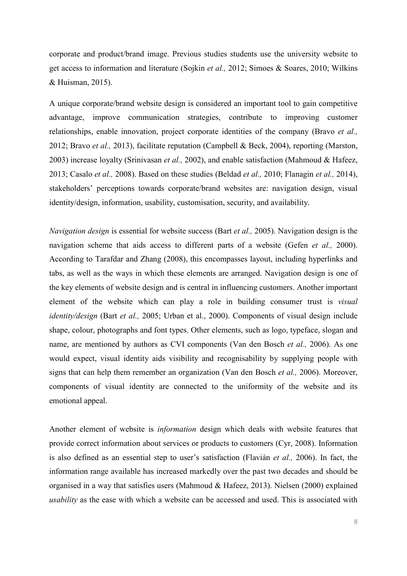corporate and product/brand image. Previous studies students use the university website to get access to information and literature (Sojkin *et al.,* 2012; Simoes & Soares, 2010; Wilkins & Huisman, 2015).

A unique corporate/brand website design is considered an important tool to gain competitive advantage, improve communication strategies, contribute to improving customer relationships, enable innovation, project corporate identities of the company (Bravo *et al.,* 2012; Bravo *et al.,* 2013), facilitate reputation (Campbell & Beck, 2004), reporting (Marston, 2003) increase loyalty (Srinivasan *et al.,* 2002), and enable satisfaction (Mahmoud & Hafeez, 2013; Casalo *et al.,* 2008). Based on these studies (Beldad *et al.,* 2010; Flanagin *et al.,* 2014), stakeholders' perceptions towards corporate/brand websites are: navigation design, visual identity/design, information, usability, customisation, security, and availability.

*Navigation design* is essential for website success (Bart *et al.,* 2005). Navigation design is the navigation scheme that aids access to different parts of a website (Gefen *et al.,* 2000). According to Tarafdar and Zhang (2008), this encompasses layout, including hyperlinks and tabs, as well as the ways in which these elements are arranged. Navigation design is one of the key elements of website design and is central in influencing customers. Another important element of the website which can play a role in building consumer trust is *visual identity/design* (Bart *et al.,* 2005; Urban et al., 2000). Components of visual design include shape, colour, photographs and font types. Other elements, such as logo, typeface, slogan and name, are mentioned by authors as CVI components (Van den Bosch *et al.,* 2006). As one would expect, visual identity aids visibility and recognisability by supplying people with signs that can help them remember an organization (Van den Bosch *et al.,* 2006). Moreover, components of visual identity are connected to the uniformity of the website and its emotional appeal.

Another element of website is *information* design which deals with website features that provide correct information about services or products to customers (Cyr, 2008). Information is also defined as an essential step to user's satisfaction (Flavián *et al.,* 2006). In fact, the information range available has increased markedly over the past two decades and should be organised in a way that satisfies users (Mahmoud & Hafeez, 2013). Nielsen (2000) explained *usability* as the ease with which a website can be accessed and used. This is associated with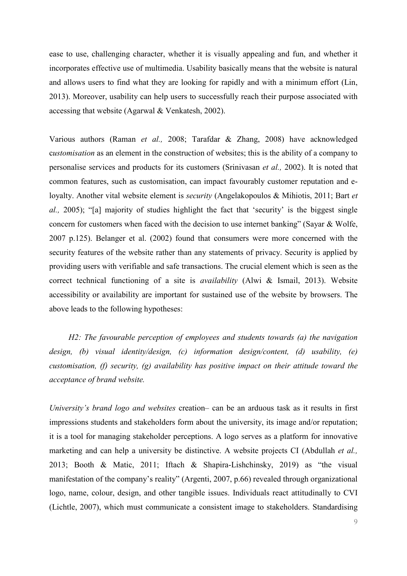ease to use, challenging character, whether it is visually appealing and fun, and whether it incorporates effective use of multimedia. Usability basically means that the website is natural and allows users to find what they are looking for rapidly and with a minimum effort (Lin, 2013). Moreover, usability can help users to successfully reach their purpose associated with accessing that website (Agarwal & Venkatesh, 2002).

Various authors (Raman *et al.,* 2008; Tarafdar & Zhang, 2008) have acknowledged c*ustomisation* as an element in the construction of websites; this is the ability of a company to personalise services and products for its customers (Srinivasan *et al.,* 2002). It is noted that common features, such as customisation, can impact favourably customer reputation and eloyalty. Another vital website element is *security* (Angelakopoulos & Mihiotis, 2011; Bart *et al.,* 2005); "[a] majority of studies highlight the fact that 'security' is the biggest single concern for customers when faced with the decision to use internet banking" (Sayar & Wolfe, 2007 p.125). Belanger et al. (2002) found that consumers were more concerned with the security features of the website rather than any statements of privacy. Security is applied by providing users with verifiable and safe transactions. The crucial element which is seen as the correct technical functioning of a site is *availability* (Alwi & Ismail, 2013). Website accessibility or availability are important for sustained use of the website by browsers. The above leads to the following hypotheses:

*H2: The favourable perception of employees and students towards (a) the navigation design, (b) visual identity/design, (c) information design/content, (d) usability, (e) customisation, (f) security, (g) availability has positive impact on their attitude toward the acceptance of brand website.*

*University's brand logo and websites* creation*–* can be an arduous task as it results in first impressions students and stakeholders form about the university, its image and/or reputation; it is a tool for managing stakeholder perceptions. A logo serves as a platform for innovative marketing and can help a university be distinctive. A website projects CI (Abdullah *et al.,* 2013; Booth & Matic, 2011; Iftach & Shapira-Lishchinsky, 2019) as "the visual manifestation of the company's reality" (Argenti, 2007, p.66) revealed through organizational logo, name, colour, design, and other tangible issues. Individuals react attitudinally to CVI (Lichtle, 2007), which must communicate a consistent image to stakeholders. Standardising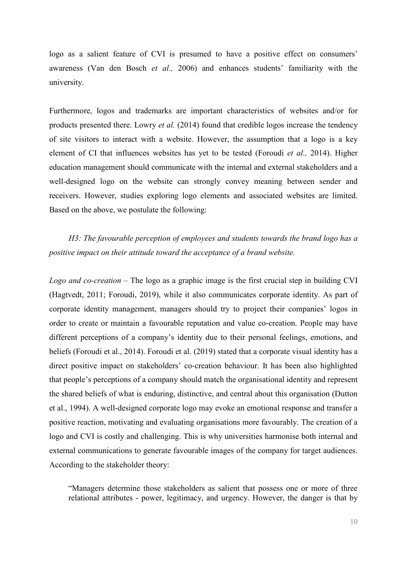logo as a salient feature of CVI is presumed to have a positive effect on consumers' awareness (Van den Bosch *et al.,* 2006) and enhances students' familiarity with the university.

Furthermore, logos and trademarks are important characteristics of websites and/or for products presented there. Lowry *et al.* (2014) found that credible logos increase the tendency of site visitors to interact with a website. However, the assumption that a logo is a key element of CI that influences websites has yet to be tested (Foroudi *et al.,* 2014). Higher education management should communicate with the internal and external stakeholders and a well-designed logo on the website can strongly convey meaning between sender and receivers. However, studies exploring logo elements and associated websites are limited. Based on the above, we postulate the following:

*H3: The favourable perception of employees and students towards the brand logo has a positive impact on their attitude toward the acceptance of a brand website.*

*Logo and co-creation –* The logo as a graphic image is the first crucial step in building CVI (Hagtvedt, 2011; Foroudi, 2019), while it also communicates corporate identity. As part of corporate identity management, managers should try to project their companies' logos in order to create or maintain a favourable reputation and value co-creation. People may have different perceptions of a company's identity due to their personal feelings, emotions, and beliefs (Foroudi et al., 2014). Foroudi et al. (2019) stated that a corporate visual identity has a direct positive impact on stakeholders' co-creation behaviour. It has been also highlighted that people's perceptions of a company should match the organisational identity and represent the shared beliefs of what is enduring, distinctive, and central about this organisation (Dutton et al., 1994). A well-designed corporate logo may evoke an emotional response and transfer a positive reaction, motivating and evaluating organisations more favourably. The creation of a logo and CVI is costly and challenging. This is why universities harmonise both internal and external communications to generate favourable images of the company for target audiences. According to the stakeholder theory:

"Managers determine those stakeholders as salient that possess one or more of three relational attributes - power, legitimacy, and urgency. However, the danger is that by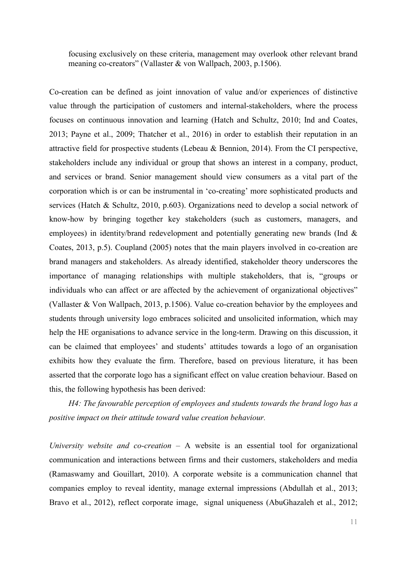focusing exclusively on these criteria, management may overlook other relevant brand meaning co-creators" (Vallaster & von Wallpach, 2003, p.1506).

Co-creation can be defined as joint innovation of value and/or experiences of distinctive value through the participation of customers and internal-stakeholders, where the process focuses on continuous innovation and learning (Hatch and Schultz, 2010; Ind and Coates, 2013; Payne et al., 2009; Thatcher et al., 2016) in order to establish their reputation in an attractive field for prospective students (Lebeau & Bennion, 2014). From the CI perspective, stakeholders include any individual or group that shows an interest in a company, product, and services or brand. Senior management should view consumers as a vital part of the corporation which is or can be instrumental in 'co-creating' more sophisticated products and services (Hatch & Schultz, 2010, p.603). Organizations need to develop a social network of know-how by bringing together key stakeholders (such as customers, managers, and employees) in identity/brand redevelopment and potentially generating new brands (Ind & Coates, 2013, p.5). Coupland (2005) notes that the main players involved in co-creation are brand managers and stakeholders. As already identified, stakeholder theory underscores the importance of managing relationships with multiple stakeholders, that is, "groups or individuals who can affect or are affected by the achievement of organizational objectives" (Vallaster & Von Wallpach, 2013, p.1506). Value co-creation behavior by the employees and students through university logo embraces solicited and unsolicited information, which may help the HE organisations to advance service in the long-term. Drawing on this discussion, it can be claimed that employees' and students' attitudes towards a logo of an organisation exhibits how they evaluate the firm. Therefore, based on previous literature, it has been asserted that the corporate logo has a significant effect on value creation behaviour. Based on this, the following hypothesis has been derived:

*H4: The favourable perception of employees and students towards the brand logo has a positive impact on their attitude toward value creation behaviour.*

*University website and co-creation –* A website is an essential tool for organizational communication and interactions between firms and their customers, stakeholders and media (Ramaswamy and Gouillart, 2010). A corporate website is a communication channel that companies employ to reveal identity, manage external impressions (Abdullah et al., 2013; Bravo et al., 2012), reflect corporate image, signal uniqueness (AbuGhazaleh et al., 2012;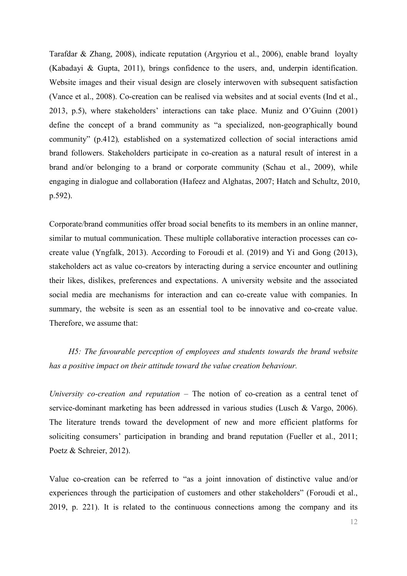Tarafdar & Zhang, 2008), indicate reputation (Argyriou et al., 2006), enable brand loyalty (Kabadayi & Gupta, 2011), brings confidence to the users, and, underpin identification. Website images and their visual design are closely interwoven with subsequent satisfaction (Vance et al., 2008). Co-creation can be realised via websites and at social events (Ind et al., 2013, p.5), where stakeholders' interactions can take place. Muniz and O'Guinn (2001) define the concept of a brand community as "a specialized, non-geographically bound community" (p.412)*,* established on a systematized collection of social interactions amid brand followers. Stakeholders participate in co-creation as a natural result of interest in a brand and/or belonging to a brand or corporate community (Schau et al., 2009), while engaging in dialogue and collaboration (Hafeez and Alghatas, 2007; Hatch and Schultz, 2010, p.592).

Corporate/brand communities offer broad social benefits to its members in an online manner, similar to mutual communication. These multiple collaborative interaction processes can cocreate value (Yngfalk, 2013). According to Foroudi et al. (2019) and Yi and Gong (2013), stakeholders act as value co-creators by interacting during a service encounter and outlining their likes, dislikes, preferences and expectations. A university website and the associated social media are mechanisms for interaction and can co-create value with companies. In summary, the website is seen as an essential tool to be innovative and co-create value. Therefore, we assume that:

*H5: The favourable perception of employees and students towards the brand website has a positive impact on their attitude toward the value creation behaviour.*

*University co-creation and reputation –* The notion of co-creation as a central tenet of service-dominant marketing has been addressed in various studies (Lusch & Vargo, 2006). The literature trends toward the development of new and more efficient platforms for soliciting consumers' participation in branding and brand reputation (Fueller et al., 2011; Poetz & Schreier, 2012).

Value co-creation can be referred to "as a joint innovation of distinctive value and/or experiences through the participation of customers and other stakeholders" (Foroudi et al., 2019, p. 221). It is related to the continuous connections among the company and its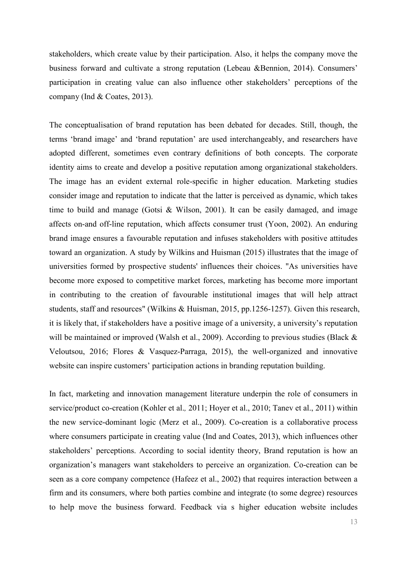stakeholders, which create value by their participation. Also, it helps the company move the business forward and cultivate a strong reputation (Lebeau &Bennion, 2014). Consumers' participation in creating value can also influence other stakeholders' perceptions of the company (Ind & Coates, 2013).

The conceptualisation of brand reputation has been debated for decades. Still, though, the terms 'brand image' and 'brand reputation' are used interchangeably, and researchers have adopted different, sometimes even contrary definitions of both concepts. The corporate identity aims to create and develop a positive reputation among organizational stakeholders. The image has an evident external role-specific in higher education. Marketing studies consider image and reputation to indicate that the latter is perceived as dynamic, which takes time to build and manage (Gotsi & Wilson, 2001). It can be easily damaged, and image affects on-and off-line reputation, which affects consumer trust (Yoon, 2002). An enduring brand image ensures a favourable reputation and infuses stakeholders with positive attitudes toward an organization. A study by Wilkins and Huisman (2015) illustrates that the image of universities formed by prospective students' influences their choices. "As universities have become more exposed to competitive market forces, marketing has become more important in contributing to the creation of favourable institutional images that will help attract students, staff and resources" (Wilkins & Huisman, 2015, pp.1256-1257). Given this research, it is likely that, if stakeholders have a positive image of a university, a university's reputation will be maintained or improved (Walsh et al., 2009). According to previous studies (Black & Veloutsou, 2016; Flores & Vasquez-Parraga, 2015), the well-organized and innovative website can inspire customers' participation actions in branding reputation building.

In fact, marketing and innovation management literature underpin the role of consumers in service/product co-creation (Kohler et al.*,* 2011; Hoyer et al., 2010; Tanev et al., 2011) within the new service-dominant logic (Merz et al., 2009). Co-creation is a collaborative process where consumers participate in creating value (Ind and Coates, 2013), which influences other stakeholders' perceptions. According to social identity theory, Brand reputation is how an organization's managers want stakeholders to perceive an organization. Co-creation can be seen as a core company competence (Hafeez et al., 2002) that requires interaction between a firm and its consumers, where both parties combine and integrate (to some degree) resources to help move the business forward. Feedback via s higher education website includes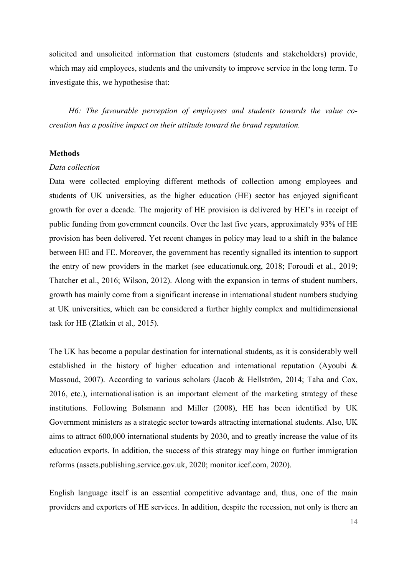solicited and unsolicited information that customers (students and stakeholders) provide, which may aid employees, students and the university to improve service in the long term. To investigate this, we hypothesise that:

*H6: The favourable perception of employees and students towards the value cocreation has a positive impact on their attitude toward the brand reputation.*

#### **Methods**

#### *Data collection*

Data were collected employing different methods of collection among employees and students of UK universities, as the higher education (HE) sector has enjoyed significant growth for over a decade. The majority of HE provision is delivered by HEI's in receipt of public funding from government councils. Over the last five years, approximately 93% of HE provision has been delivered. Yet recent changes in policy may lead to a shift in the balance between HE and FE. Moreover, the government has recently signalled its intention to support the entry of new providers in the market (see educationuk.org, 2018; Foroudi et al., 2019; Thatcher et al., 2016; Wilson, 2012). Along with the expansion in terms of student numbers, growth has mainly come from a significant increase in international student numbers studying at UK universities, which can be considered a further highly complex and multidimensional task for HE (Zlatkin et al.*,* 2015).

The UK has become a popular destination for international students, as it is considerably well established in the history of higher education and international reputation (Ayoubi & Massoud, 2007). According to various scholars (Jacob & Hellström, 2014; Taha and Cox, 2016, etc.), internationalisation is an important element of the marketing strategy of these institutions. Following Bolsmann and Miller (2008), HE has been identified by UK Government ministers as a strategic sector towards attracting international students. Also, UK aims to attract 600,000 international students by 2030, and to greatly increase the value of its education exports. In addition, the success of this strategy may hinge on further immigration reforms (assets.publishing.service.gov.uk, 2020; monitor.icef.com, 2020).

English language itself is an essential competitive advantage and, thus, one of the main providers and exporters of HE services. In addition, despite the recession, not only is there an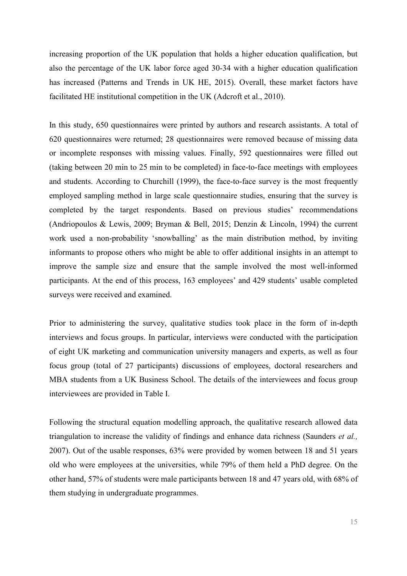increasing proportion of the UK population that holds a higher education qualification, but also the percentage of the UK labor force aged 30-34 with a higher education qualification has increased (Patterns and Trends in UK HE, 2015). Overall, these market factors have facilitated HE institutional competition in the UK (Adcroft et al., 2010).

In this study, 650 questionnaires were printed by authors and research assistants. A total of 620 questionnaires were returned; 28 questionnaires were removed because of missing data or incomplete responses with missing values. Finally, 592 questionnaires were filled out (taking between 20 min to 25 min to be completed) in face-to-face meetings with employees and students. According to Churchill (1999), the face-to-face survey is the most frequently employed sampling method in large scale questionnaire studies, ensuring that the survey is completed by the target respondents. Based on previous studies' recommendations (Andriopoulos & Lewis, 2009; Bryman & Bell, 2015; Denzin & Lincoln, 1994) the current work used a non-probability 'snowballing' as the main distribution method, by inviting informants to propose others who might be able to offer additional insights in an attempt to improve the sample size and ensure that the sample involved the most well-informed participants. At the end of this process, 163 employees' and 429 students' usable completed surveys were received and examined.

Prior to administering the survey, qualitative studies took place in the form of in-depth interviews and focus groups. In particular, interviews were conducted with the participation of eight UK marketing and communication university managers and experts, as well as four focus group (total of 27 participants) discussions of employees, doctoral researchers and MBA students from a UK Business School. The details of the interviewees and focus group interviewees are provided in Table I.

Following the structural equation modelling approach, the qualitative research allowed data triangulation to increase the validity of findings and enhance data richness (Saunders *et al.,*  2007). Out of the usable responses, 63% were provided by women between 18 and 51 years old who were employees at the universities, while 79% of them held a PhD degree. On the other hand, 57% of students were male participants between 18 and 47 years old, with 68% of them studying in undergraduate programmes.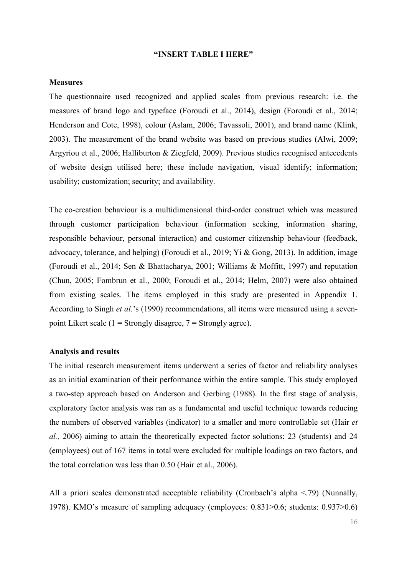#### **"INSERT TABLE I HERE"**

#### **Measures**

The questionnaire used recognized and applied scales from previous research: i.e. the measures of brand logo and typeface (Foroudi et al., 2014), design (Foroudi et al., 2014; Henderson and Cote, 1998), colour (Aslam, 2006; Tavassoli, 2001), and brand name (Klink, 2003). The measurement of the brand website was based on previous studies (Alwi, 2009; Argyriou et al., 2006; Halliburton & Ziegfeld, 2009). Previous studies recognised antecedents of website design utilised here; these include navigation, visual identify; information; usability; customization; security; and availability.

The co-creation behaviour is a multidimensional third-order construct which was measured through customer participation behaviour (information seeking, information sharing, responsible behaviour, personal interaction) and customer citizenship behaviour (feedback, advocacy, tolerance, and helping) (Foroudi et al., 2019; Yi & Gong, 2013). In addition, image (Foroudi et al., 2014; Sen & Bhattacharya, 2001; Williams & Moffitt, 1997) and reputation (Chun, 2005; Fombrun et al., 2000; Foroudi et al., 2014; Helm, 2007) were also obtained from existing scales. The items employed in this study are presented in Appendix 1. According to Singh *et al.*'s (1990) recommendations, all items were measured using a sevenpoint Likert scale (1 = Strongly disagree,  $7 =$  Strongly agree).

#### **Analysis and results**

The initial research measurement items underwent a series of factor and reliability analyses as an initial examination of their performance within the entire sample. This study employed a two-step approach based on Anderson and Gerbing (1988). In the first stage of analysis, exploratory factor analysis was ran as a fundamental and useful technique towards reducing the numbers of observed variables (indicator) to a smaller and more controllable set (Hair *et al.,* 2006) aiming to attain the theoretically expected factor solutions; 23 (students) and 24 (employees) out of 167 items in total were excluded for multiple loadings on two factors, and the total correlation was less than 0.50 (Hair et al., 2006).

All a priori scales demonstrated acceptable reliability (Cronbach's alpha <.79) (Nunnally, 1978). KMO's measure of sampling adequacy (employees: 0.831>0.6; students: 0.937>0.6)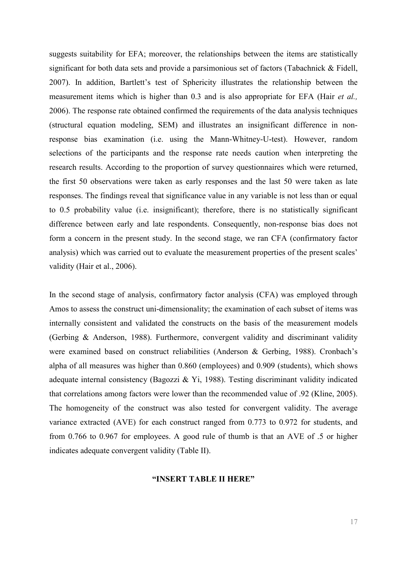suggests suitability for EFA; moreover, the relationships between the items are statistically significant for both data sets and provide a parsimonious set of factors (Tabachnick & Fidell, 2007). In addition, Bartlett's test of Sphericity illustrates the relationship between the measurement items which is higher than 0.3 and is also appropriate for EFA (Hair *et al.,* 2006). The response rate obtained confirmed the requirements of the data analysis techniques (structural equation modeling, SEM) and illustrates an insignificant difference in nonresponse bias examination (i.e. using the Mann-Whitney-U-test). However, random selections of the participants and the response rate needs caution when interpreting the research results. According to the proportion of survey questionnaires which were returned, the first 50 observations were taken as early responses and the last 50 were taken as late responses. The findings reveal that significance value in any variable is not less than or equal to 0.5 probability value (i.e. insignificant); therefore, there is no statistically significant difference between early and late respondents. Consequently, non-response bias does not form a concern in the present study. In the second stage, we ran CFA (confirmatory factor analysis) which was carried out to evaluate the measurement properties of the present scales' validity (Hair et al., 2006).

In the second stage of analysis, confirmatory factor analysis (CFA) was employed through Amos to assess the construct uni-dimensionality; the examination of each subset of items was internally consistent and validated the constructs on the basis of the measurement models (Gerbing & Anderson, 1988). Furthermore, convergent validity and discriminant validity were examined based on construct reliabilities (Anderson & Gerbing, 1988). Cronbach's alpha of all measures was higher than 0.860 (employees) and 0.909 (students), which shows adequate internal consistency (Bagozzi & Yi, 1988). Testing discriminant validity indicated that correlations among factors were lower than the recommended value of .92 (Kline, 2005). The homogeneity of the construct was also tested for convergent validity. The average variance extracted (AVE) for each construct ranged from 0.773 to 0.972 for students, and from 0.766 to 0.967 for employees. A good rule of thumb is that an AVE of .5 or higher indicates adequate convergent validity (Table II).

#### **"INSERT TABLE II HERE"**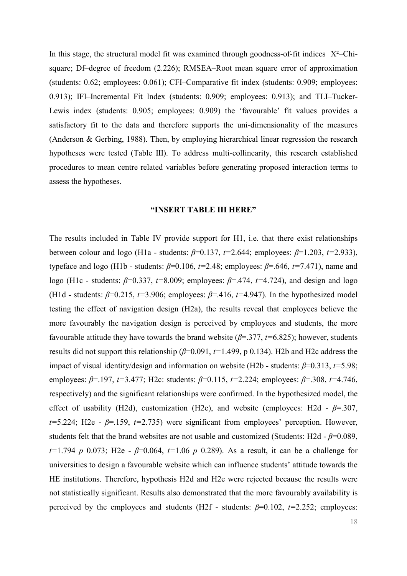In this stage, the structural model fit was examined through goodness-of-fit indices  $X^2$ –Chisquare; Df–degree of freedom (2.226); RMSEA–Root mean square error of approximation (students: 0.62; employees: 0.061); CFI–Comparative fit index (students: 0.909; employees: 0.913); IFI–Incremental Fit Index (students: 0.909; employees: 0.913); and TLI–Tucker-Lewis index (students: 0.905; employees: 0.909) the 'favourable' fit values provides a satisfactory fit to the data and therefore supports the uni-dimensionality of the measures (Anderson & Gerbing, 1988). Then, by employing hierarchical linear regression the research hypotheses were tested (Table III). To address multi-collinearity, this research established procedures to mean centre related variables before generating proposed interaction terms to assess the hypotheses.

#### **"INSERT TABLE III HERE"**

The results included in Table IV provide support for H1, i.e. that there exist relationships between colour and logo (H1a - students: *β*=0.137, *t=*2.644; employees: *β*=1.203, *t=*2.933), typeface and logo (H1b - students: *β*=0.106, *t=*2.48; employees: *β*=.646, *t=*7.471), name and logo (H1c - students: *β*=0.337, *t=*8.009; employees: *β*=.474, *t=*4.724), and design and logo (H1d - students:  $\beta$ =0.215,  $t=3.906$ ; employees:  $\beta$ =.416,  $t=4.947$ ). In the hypothesized model testing the effect of navigation design (H2a), the results reveal that employees believe the more favourably the navigation design is perceived by employees and students, the more favourable attitude they have towards the brand website (*β*=.377, *t=*6.825); however, students results did not support this relationship (*β*=0.091, *t=*1.499, p 0.134). H2b and H2c address the impact of visual identity/design and information on website (H2b - students: *β*=0.313, *t=*5.98; employees: *β*=.197, *t=*3.477; H2c: students: *β*=0.115, *t=*2.224; employees: *β*=.308, *t=*4.746, respectively) and the significant relationships were confirmed. In the hypothesized model, the effect of usability (H2d), customization (H2e), and website (employees: H2d - *β*=.307, *t=*5.224; H2e - *β*=.159, *t=*2.735) were significant from employees' perception. However, students felt that the brand websites are not usable and customized (Students: H2d -  $\beta$ =0.089, *t=*1.794 *p* 0.073; H2e - *β*=0.064, *t=*1.06 *p* 0.289). As a result, it can be a challenge for universities to design a favourable website which can influence students' attitude towards the HE institutions. Therefore, hypothesis H2d and H2e were rejected because the results were not statistically significant. Results also demonstrated that the more favourably availability is perceived by the employees and students (H2f - students: *β*=0.102, *t=*2.252; employees: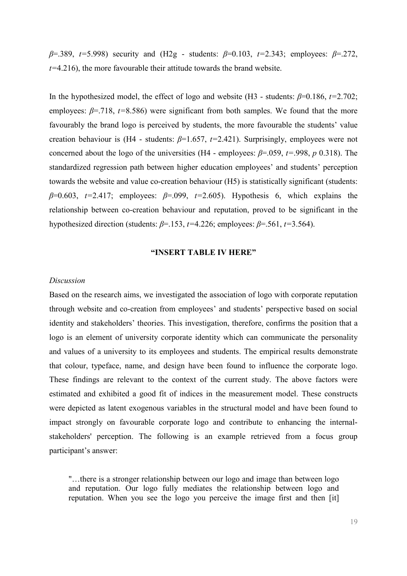*β*=.389, *t=*5.998) security and (H2g - students: *β*=0.103, *t=*2.343; employees: *β*=.272, *t=*4.216), the more favourable their attitude towards the brand website.

In the hypothesized model, the effect of logo and website (H3 - students: *β*=0.186, *t=*2.702; employees: *β*=.718, *t=*8.586) were significant from both samples. We found that the more favourably the brand logo is perceived by students, the more favourable the students' value creation behaviour is (H4 - students: *β*=1.657, *t=*2.421). Surprisingly, employees were not concerned about the logo of the universities (H4 - employees:  $\beta$ =.059,  $t$ =.998,  $p$  0.318). The standardized regression path between higher education employees' and students' perception towards the website and value co-creation behaviour (H5) is statistically significant (students: *β*=0.603, *t=*2.417; employees: *β*=.099, *t=*2.605). Hypothesis 6, which explains the relationship between co-creation behaviour and reputation, proved to be significant in the hypothesized direction (students: *β*=.153, *t=*4.226; employees: *β*=.561, *t=*3.564).

#### **"INSERT TABLE IV HERE"**

#### *Discussion*

Based on the research aims, we investigated the association of logo with corporate reputation through website and co-creation from employees' and students' perspective based on social identity and stakeholders' theories. This investigation, therefore, confirms the position that a logo is an element of university corporate identity which can communicate the personality and values of a university to its employees and students. The empirical results demonstrate that colour, typeface, name, and design have been found to influence the corporate logo. These findings are relevant to the context of the current study. The above factors were estimated and exhibited a good fit of indices in the measurement model. These constructs were depicted as latent exogenous variables in the structural model and have been found to impact strongly on favourable corporate logo and contribute to enhancing the internalstakeholders' perception. The following is an example retrieved from a focus group participant's answer:

"…there is a stronger relationship between our logo and image than between logo and reputation. Our logo fully mediates the relationship between logo and reputation. When you see the logo you perceive the image first and then [it]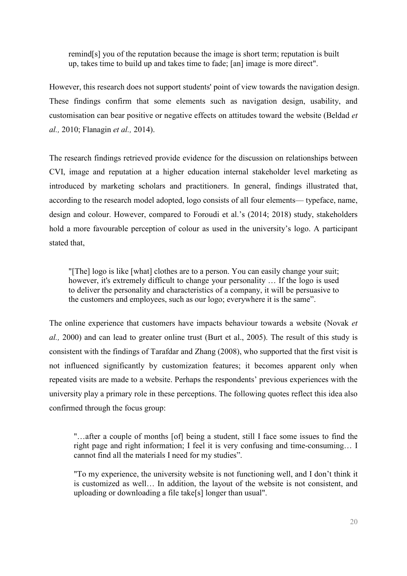remind[s] you of the reputation because the image is short term; reputation is built up, takes time to build up and takes time to fade; [an] image is more direct".

However, this research does not support students' point of view towards the navigation design. These findings confirm that some elements such as navigation design, usability, and customisation can bear positive or negative effects on attitudes toward the website (Beldad *et al.,* 2010; Flanagin *et al.,* 2014).

The research findings retrieved provide evidence for the discussion on relationships between CVI, image and reputation at a higher education internal stakeholder level marketing as introduced by marketing scholars and practitioners. In general, findings illustrated that, according to the research model adopted, logo consists of all four elements— typeface, name, design and colour. However, compared to Foroudi et al.'s (2014; 2018) study, stakeholders hold a more favourable perception of colour as used in the university's logo. A participant stated that,

"[The] logo is like [what] clothes are to a person. You can easily change your suit; however, it's extremely difficult to change your personality … If the logo is used to deliver the personality and characteristics of a company, it will be persuasive to the customers and employees, such as our logo; everywhere it is the same".

The online experience that customers have impacts behaviour towards a website (Novak *et al.,* 2000) and can lead to greater online trust (Burt et al., 2005). The result of this study is consistent with the findings of Tarafdar and Zhang (2008), who supported that the first visit is not influenced significantly by customization features; it becomes apparent only when repeated visits are made to a website. Perhaps the respondents' previous experiences with the university play a primary role in these perceptions. The following quotes reflect this idea also confirmed through the focus group:

"…after a couple of months [of] being a student, still I face some issues to find the right page and right information; I feel it is very confusing and time-consuming… I cannot find all the materials I need for my studies".

"To my experience, the university website is not functioning well, and I don't think it is customized as well… In addition, the layout of the website is not consistent, and uploading or downloading a file take[s] longer than usual".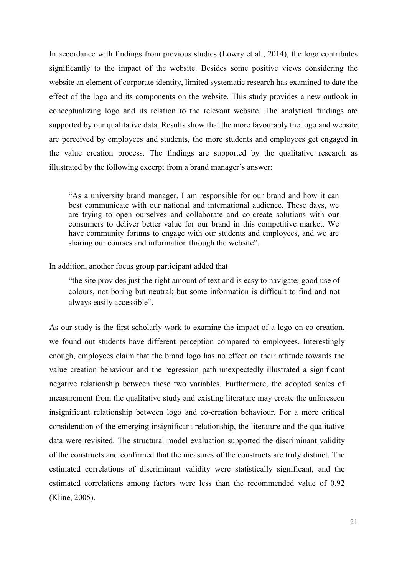In accordance with findings from previous studies (Lowry et al., 2014), the logo contributes significantly to the impact of the website. Besides some positive views considering the website an element of corporate identity, limited systematic research has examined to date the effect of the logo and its components on the website. This study provides a new outlook in conceptualizing logo and its relation to the relevant website. The analytical findings are supported by our qualitative data. Results show that the more favourably the logo and website are perceived by employees and students, the more students and employees get engaged in the value creation process. The findings are supported by the qualitative research as illustrated by the following excerpt from a brand manager's answer:

"As a university brand manager, I am responsible for our brand and how it can best communicate with our national and international audience. These days, we are trying to open ourselves and collaborate and co-create solutions with our consumers to deliver better value for our brand in this competitive market. We have community forums to engage with our students and employees, and we are sharing our courses and information through the website".

#### In addition, another focus group participant added that

"the site provides just the right amount of text and is easy to navigate; good use of colours, not boring but neutral; but some information is difficult to find and not always easily accessible".

As our study is the first scholarly work to examine the impact of a logo on co-creation, we found out students have different perception compared to employees. Interestingly enough, employees claim that the brand logo has no effect on their attitude towards the value creation behaviour and the regression path unexpectedly illustrated a significant negative relationship between these two variables. Furthermore, the adopted scales of measurement from the qualitative study and existing literature may create the unforeseen insignificant relationship between logo and co-creation behaviour. For a more critical consideration of the emerging insignificant relationship, the literature and the qualitative data were revisited. The structural model evaluation supported the discriminant validity of the constructs and confirmed that the measures of the constructs are truly distinct. The estimated correlations of discriminant validity were statistically significant, and the estimated correlations among factors were less than the recommended value of 0.92 (Kline, 2005).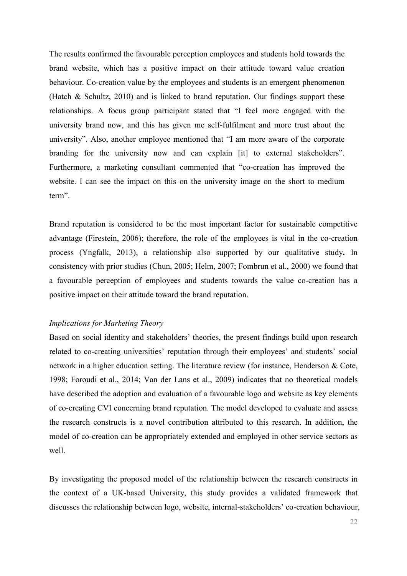The results confirmed the favourable perception employees and students hold towards the brand website, which has a positive impact on their attitude toward value creation behaviour. Co-creation value by the employees and students is an emergent phenomenon (Hatch & Schultz, 2010) and is linked to brand reputation. Our findings support these relationships. A focus group participant stated that "I feel more engaged with the university brand now, and this has given me self-fulfilment and more trust about the university". Also, another employee mentioned that "I am more aware of the corporate branding for the university now and can explain [it] to external stakeholders". Furthermore, a marketing consultant commented that "co-creation has improved the website. I can see the impact on this on the university image on the short to medium term".

Brand reputation is considered to be the most important factor for sustainable competitive advantage (Firestein, 2006); therefore, the role of the employees is vital in the co-creation process (Yngfalk, 2013), a relationship also supported by our qualitative study**.** In consistency with prior studies (Chun, 2005; Helm, 2007; Fombrun et al., 2000) we found that a favourable perception of employees and students towards the value co-creation has a positive impact on their attitude toward the brand reputation.

#### *Implications for Marketing Theory*

Based on social identity and stakeholders' theories, the present findings build upon research related to co-creating universities' reputation through their employees' and students' social network in a higher education setting. The literature review (for instance, Henderson & Cote, 1998; Foroudi et al., 2014; Van der Lans et al., 2009) indicates that no theoretical models have described the adoption and evaluation of a favourable logo and website as key elements of co-creating CVI concerning brand reputation. The model developed to evaluate and assess the research constructs is a novel contribution attributed to this research. In addition, the model of co-creation can be appropriately extended and employed in other service sectors as well.

By investigating the proposed model of the relationship between the research constructs in the context of a UK-based University, this study provides a validated framework that discusses the relationship between logo, website, internal-stakeholders' co-creation behaviour,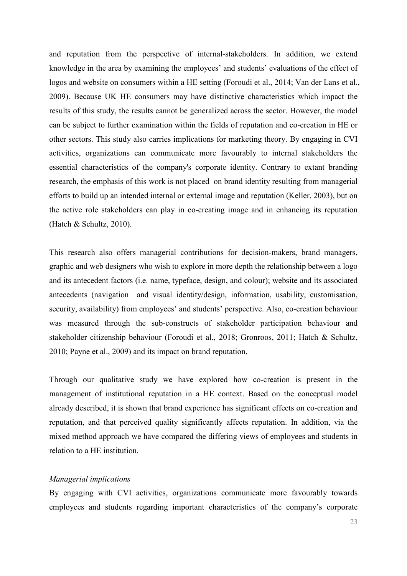and reputation from the perspective of internal-stakeholders. In addition, we extend knowledge in the area by examining the employees' and students' evaluations of the effect of logos and website on consumers within a HE setting (Foroudi et al., 2014; Van der Lans et al., 2009). Because UK HE consumers may have distinctive characteristics which impact the results of this study, the results cannot be generalized across the sector. However, the model can be subject to further examination within the fields of reputation and co-creation in HE or other sectors. This study also carries implications for marketing theory. By engaging in CVI activities, organizations can communicate more favourably to internal stakeholders the essential characteristics of the company's corporate identity. Contrary to extant branding research, the emphasis of this work is not placed on brand identity resulting from managerial efforts to build up an intended internal or external image and reputation (Keller, 2003), but on the active role stakeholders can play in co-creating image and in enhancing its reputation (Hatch & Schultz, 2010).

This research also offers managerial contributions for decision-makers, brand managers, graphic and web designers who wish to explore in more depth the relationship between a logo and its antecedent factors (i.e. name, typeface, design, and colour); website and its associated antecedents (navigation and visual identity/design, information, usability, customisation, security, availability) from employees' and students' perspective. Also, co-creation behaviour was measured through the sub-constructs of stakeholder participation behaviour and stakeholder citizenship behaviour (Foroudi et al., 2018; Gronroos, 2011; Hatch & Schultz, 2010; Payne et al., 2009) and its impact on brand reputation.

Through our qualitative study we have explored how co-creation is present in the management of institutional reputation in a HE context. Based on the conceptual model already described, it is shown that brand experience has significant effects on co-creation and reputation, and that perceived quality significantly affects reputation. In addition, via the mixed method approach we have compared the differing views of employees and students in relation to a HE institution.

#### *Managerial implications*

By engaging with CVI activities, organizations communicate more favourably towards employees and students regarding important characteristics of the company's corporate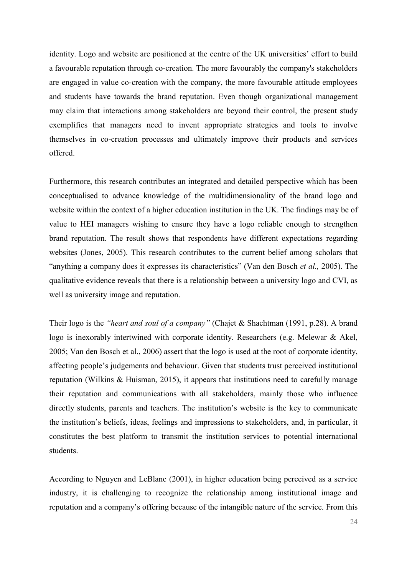identity. Logo and website are positioned at the centre of the UK universities' effort to build a favourable reputation through co-creation. The more favourably the company's stakeholders are engaged in value co-creation with the company, the more favourable attitude employees and students have towards the brand reputation. Even though organizational management may claim that interactions among stakeholders are beyond their control, the present study exemplifies that managers need to invent appropriate strategies and tools to involve themselves in co-creation processes and ultimately improve their products and services offered.

Furthermore, this research contributes an integrated and detailed perspective which has been conceptualised to advance knowledge of the multidimensionality of the brand logo and website within the context of a higher education institution in the UK. The findings may be of value to HEI managers wishing to ensure they have a logo reliable enough to strengthen brand reputation. The result shows that respondents have different expectations regarding websites (Jones, 2005). This research contributes to the current belief among scholars that "anything a company does it expresses its characteristics" (Van den Bosch *et al.,* 2005). The qualitative evidence reveals that there is a relationship between a university logo and CVI, as well as university image and reputation.

Their logo is the *"heart and soul of a company"* (Chajet & Shachtman (1991, p.28). A brand logo is inexorably intertwined with corporate identity. Researchers (e.g. Melewar & Akel, 2005; Van den Bosch et al., 2006) assert that the logo is used at the root of corporate identity, affecting people's judgements and behaviour. Given that students trust perceived institutional reputation (Wilkins & Huisman, 2015), it appears that institutions need to carefully manage their reputation and communications with all stakeholders, mainly those who influence directly students, parents and teachers. The institution's website is the key to communicate the institution's beliefs, ideas, feelings and impressions to stakeholders, and, in particular, it constitutes the best platform to transmit the institution services to potential international students.

According to Nguyen and LeBlanc (2001), in higher education being perceived as a service industry, it is challenging to recognize the relationship among institutional image and reputation and a company's offering because of the intangible nature of the service. From this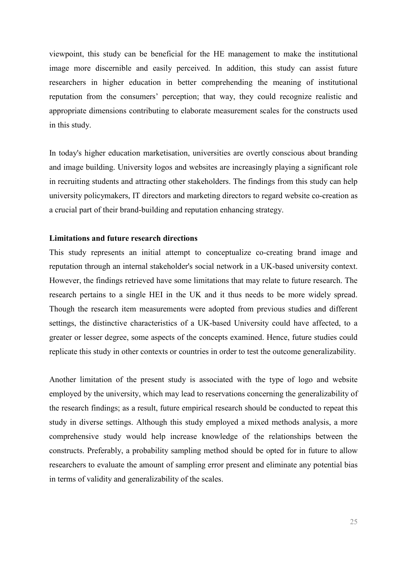viewpoint, this study can be beneficial for the HE management to make the institutional image more discernible and easily perceived. In addition, this study can assist future researchers in higher education in better comprehending the meaning of institutional reputation from the consumers' perception; that way, they could recognize realistic and appropriate dimensions contributing to elaborate measurement scales for the constructs used in this study.

In today's higher education marketisation, universities are overtly conscious about branding and image building. University logos and websites are increasingly playing a significant role in recruiting students and attracting other stakeholders. The findings from this study can help university policymakers, IT directors and marketing directors to regard website co-creation as a crucial part of their brand-building and reputation enhancing strategy.

#### **Limitations and future research directions**

This study represents an initial attempt to conceptualize co-creating brand image and reputation through an internal stakeholder's social network in a UK-based university context. However, the findings retrieved have some limitations that may relate to future research. The research pertains to a single HEI in the UK and it thus needs to be more widely spread. Though the research item measurements were adopted from previous studies and different settings, the distinctive characteristics of a UK-based University could have affected, to a greater or lesser degree, some aspects of the concepts examined. Hence, future studies could replicate this study in other contexts or countries in order to test the outcome generalizability.

Another limitation of the present study is associated with the type of logo and website employed by the university, which may lead to reservations concerning the generalizability of the research findings; as a result, future empirical research should be conducted to repeat this study in diverse settings. Although this study employed a mixed methods analysis, a more comprehensive study would help increase knowledge of the relationships between the constructs. Preferably, a probability sampling method should be opted for in future to allow researchers to evaluate the amount of sampling error present and eliminate any potential bias in terms of validity and generalizability of the scales.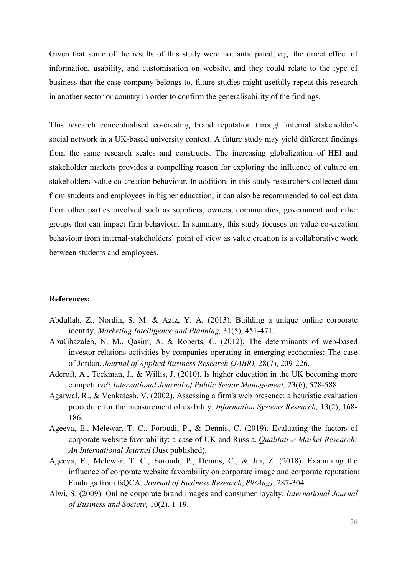Given that some of the results of this study were not anticipated, e.g. the direct effect of information, usability, and customisation on website, and they could relate to the type of business that the case company belongs to, future studies might usefully repeat this research in another sector or country in order to confirm the generalisability of the findings.

This research conceptualised co-creating brand reputation through internal stakeholder's social network in a UK-based university context. A future study may yield different findings from the same research scales and constructs. The increasing globalization of HEI and stakeholder markets provides a compelling reason for exploring the influence of culture on stakeholders' value co-creation behaviour. In addition, in this study researchers collected data from students and employees in higher education; it can also be recommended to collect data from other parties involved such as suppliers, owners, communities, government and other groups that can impact firm behaviour. In summary, this study focuses on value co-creation behaviour from internal-stakeholders' point of view as value creation is a collaborative work between students and employees.

#### **References:**

- Abdullah, Z., Nordin, S. M. & Aziz, Y. A. (2013). Building a unique online corporate identity. *Marketing Intelligence and Planning,* 31(5), 451-471.
- AbuGhazaleh, N. M., Qasim, A. & Roberts, C. (2012). The determinants of web-based investor relations activities by companies operating in emerging economies: The case of Jordan. *Journal of Applied Business Research (JABR),* 28(7), 209-226.
- Adcroft, A., Teckman, J., & Willis, J. (2010). Is higher education in the UK becoming more competitive? *International Journal of Public Sector Management,* 23(6), 578-588.
- Agarwal, R., & Venkatesh, V. (2002). Assessing a firm's web presence: a heuristic evaluation procedure for the measurement of usability. *Information Systems Research,* 13(2), 168- 186.
- Ageeva, E., Melewar, T. C., Foroudi, P., & Dennis, C. (2019). Evaluating the factors of corporate website favorability: a case of UK and Russia. *Qualitative Market Research: An International Journal* (Just published).
- Ageeva, E., Melewar, T. C., Foroudi, P., Dennis, C., & Jin, Z. (2018). Examining the influence of corporate website favorability on corporate image and corporate reputation: Findings from fsQCA. *Journal of Business Research*, *89(Aug)*, 287-304.
- Alwi, S. (2009). Online corporate brand images and consumer loyalty. *International Journal of Business and Society,* 10(2), 1-19.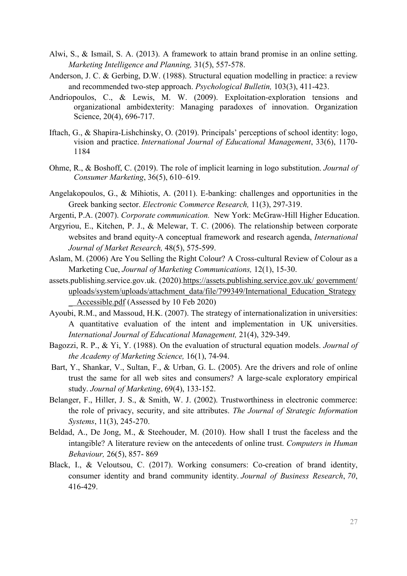- Alwi, S., & Ismail, S. A. (2013). A framework to attain brand promise in an online setting. *Marketing Intelligence and Planning,* 31(5), 557-578.
- Anderson, J. C. & Gerbing, D.W. (1988). Structural equation modelling in practice: a review and recommended two-step approach. *Psychological Bulletin,* 103(3), 411-423.
- Andriopoulos, C., & Lewis, M. W. (2009). Exploitation-exploration tensions and organizational ambidexterity: Managing paradoxes of innovation. Organization Science, 20(4), 696-717.
- Iftach, G., & Shapira-Lishchinsky, O. (2019). Principals' perceptions of school identity: logo, vision and practice. *International Journal of Educational Management*, 33(6), 1170- 1184
- Ohme, R., & Boshoff, C. (2019). The role of implicit learning in logo substitution. *Journal of Consumer Marketing*, 36(5), 610–619.
- Angelakopoulos, G., & Mihiotis, A. (2011). E-banking: challenges and opportunities in the Greek banking sector. *Electronic Commerce Research,* 11(3), 297-319.
- Argenti, P.A. (2007). *Corporate communication.* New York: McGraw-Hill Higher Education.
- Argyriou, E., Kitchen, P. J., & Melewar, T. C. (2006). The relationship between corporate websites and brand equity-A conceptual framework and research agenda, *International Journal of Market Research,* 48(5), 575-599.
- Aslam, M. (2006) Are You Selling the Right Colour? A Cross-cultural Review of Colour as a Marketing Cue, *Journal of Marketing Communications,* 12(1), 15-30.
- assets.publishing.service.gov.uk. (2020)[.https://assets.publishing.service.gov.uk/ government/](https://assets.publishing.service.gov.uk/%20government/%20uploads/system/uploads/attachment_data/file/799349/International_Education_Strategy%20%20_%20%20Accessible.pdf)  [uploads/system/uploads/attachment\\_data/file/799349/International\\_Education\\_Strategy](https://assets.publishing.service.gov.uk/%20government/%20uploads/system/uploads/attachment_data/file/799349/International_Education_Strategy%20%20_%20%20Accessible.pdf)  Accessible.pdf (Assessed by 10 Feb 2020)
- Ayoubi, R.M., and Massoud, H.K. (2007). The strategy of internationalization in universities: A quantitative evaluation of the intent and implementation in UK universities. *International Journal of Educational Management,* 21(4), 329-349.
- Bagozzi, R. P., & Yi, Y. (1988). On the evaluation of structural equation models. *Journal of the Academy of Marketing Science,* 16(1), 74-94.
- Bart, Y., Shankar, V., Sultan, F., & Urban, G. L. (2005). Are the drivers and role of online trust the same for all web sites and consumers? A large-scale exploratory empirical study. *Journal of Marketing*, 69(4), 133-152.
- Belanger, F., Hiller, J. S., & Smith, W. J. (2002). Trustworthiness in electronic commerce: the role of privacy, security, and site attributes. *The Journal of Strategic Information Systems*, 11(3), 245-270.
- Beldad, A., De Jong, M., & Steehouder, M. (2010). How shall I trust the faceless and the intangible? A literature review on the antecedents of online trust. *Computers in Human Behaviour,* 26(5), 857- 869
- Black, I., & Veloutsou, C. (2017). Working consumers: Co-creation of brand identity, consumer identity and brand community identity. *Journal of Business Research*, *70*, 416-429.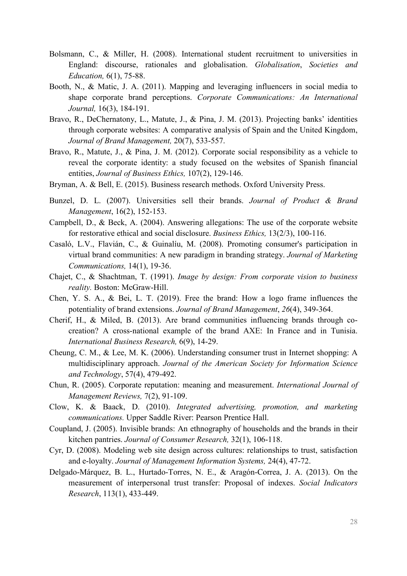- Bolsmann, C., & Miller, H. (2008). International student recruitment to universities in England: discourse, rationales and globalisation. *Globalisation*, *Societies and Education,* 6(1), 75-88.
- Booth, N., & Matic, J. A. (2011). Mapping and leveraging influencers in social media to shape corporate brand perceptions. *Corporate Communications: An International Journal,* 16(3), 184-191.
- Bravo, R., DeChernatony, L., Matute, J., & Pina, J. M. (2013). Projecting banks' identities through corporate websites: A comparative analysis of Spain and the United Kingdom, *Journal of Brand Management,* 20(7), 533-557.
- Bravo, R., Matute, J., & Pina, J. M. (2012). Corporate social responsibility as a vehicle to reveal the corporate identity: a study focused on the websites of Spanish financial entities, *Journal of Business Ethics,* 107(2), 129-146.
- Bryman, A. & Bell, E. (2015). Business research methods. Oxford University Press.
- Bunzel, D. L. (2007). Universities sell their brands. *Journal of Product & Brand Management*, 16(2), 152-153.
- Campbell, D., & Beck, A. (2004). Answering allegations: The use of the corporate website for restorative ethical and social disclosure. *Business Ethics,* 13(2/3), 100-116.
- Casaló, L.V., Flavián, C., & Guinalíu, M. (2008). Promoting consumer's participation in virtual brand communities: A new paradigm in branding strategy. *Journal of Marketing Communications,* 14(1), 19-36.
- Chajet, C., & Shachtman, T. (1991). *Image by design: From corporate vision to business reality.* Boston: McGraw-Hill.
- Chen, Y. S. A., & Bei, L. T. (2019). Free the brand: How a logo frame influences the potentiality of brand extensions. *Journal of Brand Management*, *26*(4), 349-364.
- Cherif, H., & Miled, B. (2013). Are brand communities influencing brands through cocreation? A cross-national example of the brand AXE: In France and in Tunisia. *International Business Research,* 6(9), 14-29.
- Cheung, C. M., & Lee, M. K. (2006). Understanding consumer trust in Internet shopping: A multidisciplinary approach. *Journal of the American Society for Information Science and Technology*, 57(4), 479-492.
- Chun, R. (2005). Corporate reputation: meaning and measurement. *International Journal of Management Reviews,* 7(2), 91-109.
- Clow, K. & Baack, D. (2010). *Integrated advertising, promotion, and marketing communications.* Upper Saddle River: Pearson Prentice Hall.
- Coupland, J. (2005). Invisible brands: An ethnography of households and the brands in their kitchen pantries. *Journal of Consumer Research,* 32(1), 106-118.
- Cyr, D. (2008). Modeling web site design across cultures: relationships to trust, satisfaction and e-loyalty. *Journal of Management Information Systems,* 24(4), 47-72.
- Delgado-Márquez, B. L., Hurtado-Torres, N. E., & Aragón-Correa, J. A. (2013). On the measurement of interpersonal trust transfer: Proposal of indexes. *Social Indicators Research*, 113(1), 433-449.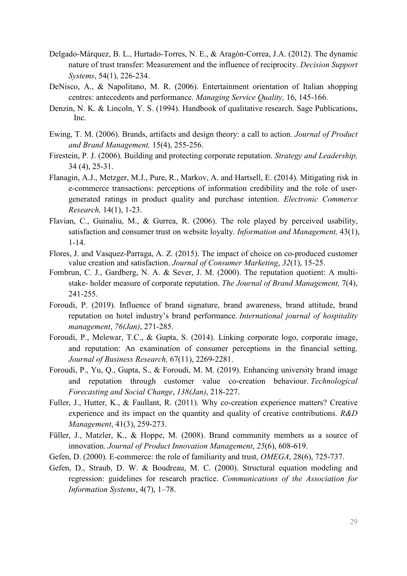- Delgado-Márquez, B. L., Hurtado-Torres, N. E., & Aragón-Correa, J.A. (2012). The dynamic nature of trust transfer: Measurement and the influence of reciprocity. *Decision Support Systems*, 54(1), 226-234.
- DeNisco, A., & Napolitano, M. R. (2006). Entertainment orientation of Italian shopping centres: antecedents and performance. *Managing Service Quality,* 16, 145-166.
- Denzin, N. K. & Lincoln, Y. S. (1994). Handbook of qualitative research. Sage Publications, Inc.
- Ewing, T. M. (2006). Brands, artifacts and design theory: a call to action. *Journal of Product and Brand Management,* 15(4), 255-256.
- Firestein, P. J. (2006). Building and protecting corporate reputation. *Strategy and Leadership,* 34 (4), 25-31.
- Flanagin, A.J., Metzger, M.J., Pure, R., Markov, A. and Hartsell, E. (2014). Mitigating risk in e-commerce transactions: perceptions of information credibility and the role of usergenerated ratings in product quality and purchase intention. *Electronic Commerce Research,* 14(1), 1-23.
- Flavian, C., Guinaliu, M., & Gurrea, R. (2006). The role played by perceived usability, satisfaction and consumer trust on website loyalty. *Information and Management,* 43(1), 1-14.
- Flores, J. and Vasquez-Parraga, A. Z. (2015). The impact of choice on co-produced customer value creation and satisfaction. *Journal of Consumer Marketing*, *32*(1), 15-25.
- Fombrun, C. J., Gardberg, N. A. & Sever, J. M. (2000). The reputation quotient: A multistake- holder measure of corporate reputation. *The Journal of Brand Management,* 7(4), 241-255.
- Foroudi, P. (2019). Influence of brand signature, brand awareness, brand attitude, brand reputation on hotel industry's brand performance. *International journal of hospitality management*, *76(Jan)*, 271-285.
- Foroudi, P., Melewar, T.C., & Gupta, S. (2014). Linking corporate logo, corporate image, and reputation: An examination of consumer perceptions in the financial setting. *Journal of Business Research,* 67(11), 2269-2281.
- Foroudi, P., Yu, Q., Gupta, S., & Foroudi, M. M. (2019). Enhancing university brand image and reputation through customer value co-creation behaviour. *Technological Forecasting and Social Change*, *138(Jan)*, 218-227.
- Fuller, J., Hutter, K., & Faullant, R. (2011). Why co-creation experience matters? Creative experience and its impact on the quantity and quality of creative contributions. *R&D Management*, 41(3), 259-273.
- Füller, J., Matzler, K., & Hoppe, M. (2008). Brand community members as a source of innovation. *Journal of Product Innovation Management*, *25*(6), 608-619.
- Gefen, D. (2000). E-commerce: the role of familiarity and trust, *OMEGA*, 28(6), 725-737.
- Gefen, D., Straub, D. W. & Boudreau, M. C. (2000). Structural equation modeling and regression: guidelines for research practice. *Communications of the Association for Information Systems*, 4(7), 1–78.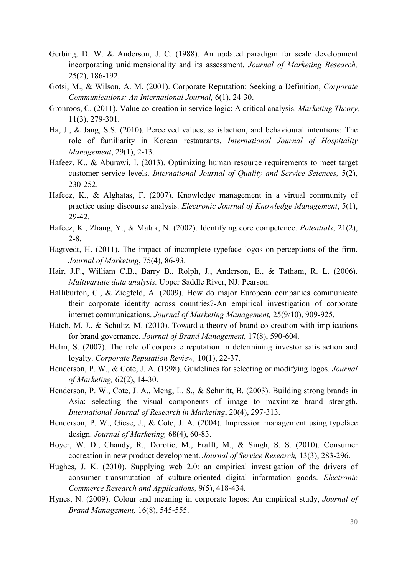- Gerbing, D. W. & Anderson, J. C. (1988). An updated paradigm for scale development incorporating unidimensionality and its assessment. *Journal of Marketing Research,* 25(2), 186-192.
- Gotsi, M., & Wilson, A. M. (2001). Corporate Reputation: Seeking a Definition, *Corporate Communications: An International Journal,* 6(1), 24-30.
- Gronroos, C. (2011). Value co-creation in service logic: A critical analysis. *Marketing Theory,* 11(3), 279-301.
- Ha, J., & Jang, S.S. (2010). Perceived values, satisfaction, and behavioural intentions: The role of familiarity in Korean restaurants. *International Journal of Hospitality Management*, 29(1), 2-13.
- Hafeez, K., & Aburawi, I. (2013). Optimizing human resource requirements to meet target customer service levels. *International Journal of Quality and Service Sciences,* 5(2), 230-252.
- Hafeez, K., & Alghatas, F. (2007). Knowledge management in a virtual community of practice using discourse analysis. *Electronic Journal of Knowledge Management*, 5(1), 29-42.
- Hafeez, K., Zhang, Y., & Malak, N. (2002). Identifying core competence. *Potentials*, 21(2), 2-8.
- Hagtvedt, H. (2011). The impact of incomplete typeface logos on perceptions of the firm. *Journal of Marketing*, 75(4), 86-93.
- Hair, J.F., William C.B., Barry B., Rolph, J., Anderson, E., & Tatham, R. L. (2006). *Multivariate data analysis.* Upper Saddle River, NJ: Pearson.
- Halliburton, C., & Ziegfeld, A. (2009). How do major European companies communicate their corporate identity across countries?-An empirical investigation of corporate internet communications. *Journal of Marketing Management,* 25(9/10), 909-925.
- Hatch, M. J., & Schultz, M. (2010). Toward a theory of brand co-creation with implications for brand governance. *Journal of Brand Management,* 17(8), 590-604.
- Helm, S. (2007). The role of corporate reputation in determining investor satisfaction and loyalty. *Corporate Reputation Review,* 10(1), 22-37.
- Henderson, P. W., & Cote, J. A. (1998). Guidelines for selecting or modifying logos. *Journal of Marketing,* 62(2), 14-30.
- Henderson, P. W., Cote, J. A., Meng, L. S., & Schmitt, B. (2003). Building strong brands in Asia: selecting the visual components of image to maximize brand strength. *International Journal of Research in Marketing*, 20(4), 297-313.
- Henderson, P. W., Giese, J., & Cote, J. A. (2004). Impression management using typeface design. *Journal of Marketing,* 68(4), 60-83.
- Hoyer, W. D., Chandy, R., Dorotic, M., Frafft, M., & Singh, S. S. (2010). Consumer cocreation in new product development. *Journal of Service Research,* 13(3), 283-296.
- Hughes, J. K. (2010). Supplying web 2.0: an empirical investigation of the drivers of consumer transmutation of culture-oriented digital information goods. *Electronic Commerce Research and Applications,* 9(5), 418-434.
- Hynes, N. (2009). Colour and meaning in corporate logos: An empirical study, *Journal of Brand Management,* 16(8), 545-555.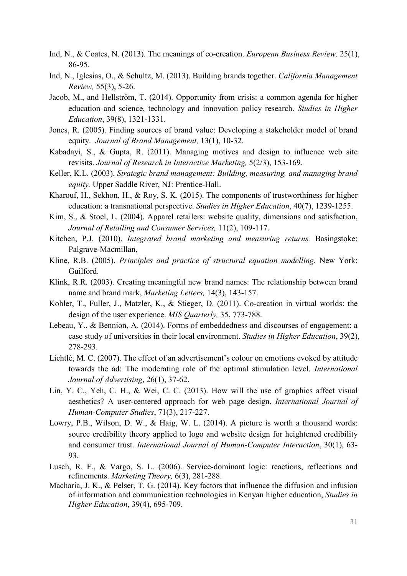- Ind, N., & Coates, N. (2013). The meanings of co-creation. *European Business Review,* 25(1), 86-95.
- Ind, N., Iglesias, O., & Schultz, M. (2013). Building brands together. *California Management Review,* 55(3), 5-26.
- Jacob, M., and Hellström, T. (2014). Opportunity from crisis: a common agenda for higher education and science, technology and innovation policy research. *Studies in Higher Education*, 39(8), 1321-1331.
- Jones, R. (2005). Finding sources of brand value: Developing a stakeholder model of brand equity. *Journal of Brand Management,* 13(1), 10-32.
- Kabadayi, S., & Gupta, R. (2011). Managing motives and design to influence web site revisits. *Journal of Research in Interactive Marketing,* 5(2/3), 153-169.
- Keller, K.L. (2003). *Strategic brand management: Building, measuring, and managing brand equity.* Upper Saddle River, NJ: Prentice-Hall.
- Kharouf, H., Sekhon, H., & Roy, S. K. (2015). The components of trustworthiness for higher education: a transnational perspective. *Studies in Higher Education*, 40(7), 1239-1255.
- Kim, S., & Stoel, L. (2004). Apparel retailers: website quality, dimensions and satisfaction, *Journal of Retailing and Consumer Services,* 11(2), 109-117.
- Kitchen, P.J. (2010). *Integrated brand marketing and measuring returns.* Basingstoke: Palgrave-Macmillan,
- Kline, R.B. (2005). *Principles and practice of structural equation modelling.* New York: Guilford.
- Klink, R.R. (2003). Creating meaningful new brand names: The relationship between brand name and brand mark, *Marketing Letters,* 14(3), 143-157.
- Kohler, T., Fuller, J., Matzler, K., & Stieger, D. (2011). Co-creation in virtual worlds: the design of the user experience. *MIS Quarterly,* 35, 773-788.
- Lebeau, Y., & Bennion, A. (2014). Forms of embeddedness and discourses of engagement: a case study of universities in their local environment. *Studies in Higher Education*, 39(2), 278-293.
- Lichtlé, M. C. (2007). The effect of an advertisement's colour on emotions evoked by attitude towards the ad: The moderating role of the optimal stimulation level. *International Journal of Advertising*, 26(1), 37-62.
- Lin, Y. C., Yeh, C. H., & Wei, C. C. (2013). How will the use of graphics affect visual aesthetics? A user-centered approach for web page design. *International Journal of Human-Computer Studies*, 71(3), 217-227.
- Lowry, P.B., Wilson, D. W., & Haig, W. L. (2014). A picture is worth a thousand words: source credibility theory applied to logo and website design for heightened credibility and consumer trust. *International Journal of Human-Computer Interaction*, 30(1), 63- 93.
- Lusch, R. F., & Vargo, S. L. (2006). Service-dominant logic: reactions, reflections and refinements. *Marketing Theory,* 6(3), 281-288.
- Macharia, J. K., & Pelser, T. G. (2014). Key factors that influence the diffusion and infusion of information and communication technologies in Kenyan higher education, *Studies in Higher Education*, 39(4), 695-709.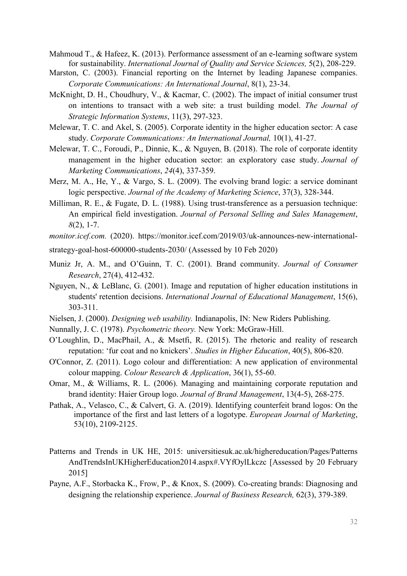- Mahmoud T., & Hafeez, K. (2013). Performance assessment of an e-learning software system for sustainability. *International Journal of Quality and Service Sciences,* 5(2), 208-229.
- Marston, C. (2003). Financial reporting on the Internet by leading Japanese companies. *Corporate Communications: An International Journal*, 8(1), 23-34.
- McKnight, D. H., Choudhury, V., & Kacmar, C. (2002). The impact of initial consumer trust on intentions to transact with a web site: a trust building model. *The Journal of Strategic Information Systems*, 11(3), 297-323.
- Melewar, T. C. and Akel, S. (2005). Corporate identity in the higher education sector: A case study. *Corporate Communications: An International Journal,* 10(1), 41-27.
- Melewar, T. C., Foroudi, P., Dinnie, K., & Nguyen, B. (2018). The role of corporate identity management in the higher education sector: an exploratory case study. *Journal of Marketing Communications*, *24*(4), 337-359.
- Merz, M. A., He, Y., & Vargo, S. L. (2009). The evolving brand logic: a service dominant logic perspective. *Journal of the Academy of Marketing Science*, 37(3), 328-344.
- Milliman, R. E., & Fugate, D. L. (1988). Using trust-transference as a persuasion technique: An empirical field investigation. *Journal of Personal Selling and Sales Management*, *8*(2), 1-7.
- *monitor.icef.com.* (2020). [https://monitor.icef.com/2019/03/uk-announces-new-international-](https://monitor.icef.com/2019/03/uk-announces-new-international-strategy-goal-host-600000-students-2030/)
- [strategy-goal-host-600000-students-2030/](https://monitor.icef.com/2019/03/uk-announces-new-international-strategy-goal-host-600000-students-2030/) (Assessed by 10 Feb 2020)
- Muniz Jr, A. M., and O'Guinn, T. C. (2001). Brand community. *Journal of Consumer Research*, 27(4), 412-432.
- Nguyen, N., & LeBlanc, G. (2001). Image and reputation of higher education institutions in students' retention decisions. *International Journal of Educational Management*, 15(6), 303-311.
- Nielsen, J. (2000). *Designing web usability.* Indianapolis, IN: New Riders Publishing.
- Nunnally, J. C. (1978). *Psychometric theory.* New York: McGraw-Hill.
- O'Loughlin, D., MacPhail, A., & Msetfi, R. (2015). The rhetoric and reality of research reputation: 'fur coat and no knickers'. *Studies in Higher Education*, 40(5), 806-820.
- O'Connor, Z. (2011). Logo colour and differentiation: A new application of environmental colour mapping. *Colour Research & Application*, 36(1), 55-60.
- Omar, M., & Williams, R. L. (2006). Managing and maintaining corporate reputation and brand identity: Haier Group logo. *Journal of Brand Management*, 13(4-5), 268-275.
- Pathak, A., Velasco, C., & Calvert, G. A. (2019). Identifying counterfeit brand logos: On the importance of the first and last letters of a logotype. *European Journal of Marketing*, 53(10), 2109-2125.
- Patterns and Trends in UK HE, 2015: universitiesuk.ac.uk/highereducation/Pages/Patterns AndTrendsInUKHigherEducation2014.aspx#.VYfOylLkczc [Assessed by 20 February 2015]
- Payne, A.F., Storbacka K., Frow, P., & Knox, S. (2009). Co-creating brands: Diagnosing and designing the relationship experience. *Journal of Business Research,* 62(3), 379-389.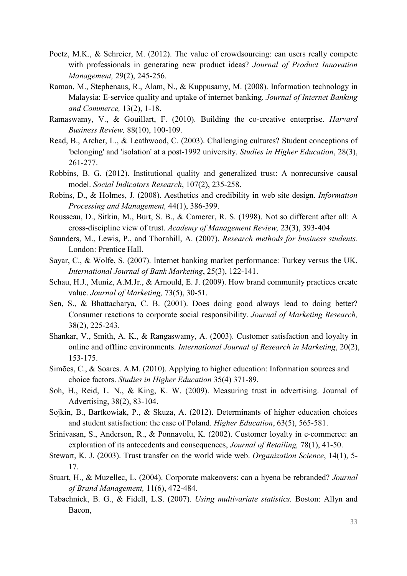- Poetz, M.K., & Schreier, M. (2012). The value of crowdsourcing: can users really compete with professionals in generating new product ideas? *Journal of Product Innovation Management,* 29(2), 245-256.
- Raman, M., Stephenaus, R., Alam, N., & Kuppusamy, M. (2008). Information technology in Malaysia: E-service quality and uptake of internet banking. *Journal of Internet Banking and Commerce,* 13(2), 1-18.
- Ramaswamy, V., & Gouillart, F. (2010). Building the co-creative enterprise. *Harvard Business Review,* 88(10), 100-109.
- Read, B., Archer, L., & Leathwood, C. (2003). Challenging cultures? Student conceptions of 'belonging' and 'isolation' at a post-1992 university. *Studies in Higher Education*, 28(3), 261-277.
- Robbins, B. G. (2012). Institutional quality and generalized trust: A nonrecursive causal model. *Social Indicators Research*, 107(2), 235-258.
- Robins, D., & Holmes, J. (2008). Aesthetics and credibility in web site design. *Information Processing and Management,* 44(1), 386-399.
- Rousseau, D., Sitkin, M., Burt, S. B., & Camerer, R. S. (1998). Not so different after all: A cross-discipline view of trust. *Academy of Management Review,* 23(3), 393-404
- Saunders, M., Lewis, P., and Thornhill, A. (2007). *Research methods for business students.* London: Prentice Hall.
- Sayar, C., & Wolfe, S. (2007). Internet banking market performance: Turkey versus the UK. *International Journal of Bank Marketing*, 25(3), 122-141.
- Schau, H.J., Muniz, A.M.Jr., & Arnould, E. J. (2009). How brand community practices create value. *Journal of Marketing,* 73(5), 30-51.
- Sen, S., & Bhattacharya, C. B. (2001). Does doing good always lead to doing better? Consumer reactions to corporate social responsibility. *Journal of Marketing Research,* 38(2), 225-243.
- Shankar, V., Smith, A. K., & Rangaswamy, A. (2003). Customer satisfaction and loyalty in online and offline environments. *International Journal of Research in Marketing*, 20(2), 153-175.
- Simões, C., & Soares. A.M. (2010). Applying to higher education: Information sources and choice factors. *Studies in Higher Education* 35(4) 371-89.
- Soh, H., Reid, L. N., & King, K. W. (2009). Measuring trust in advertising. Journal of Advertising, 38(2), 83-104.
- Sojkin, B., Bartkowiak, P., & Skuza, A. (2012). Determinants of higher education choices and student satisfaction: the case of Poland. *Higher Education*, 63(5), 565-581.
- Srinivasan, S., Anderson, R., & Ponnavolu, K. (2002). Customer loyalty in e-commerce: an exploration of its antecedents and consequences, *Journal of Retailing,* 78(1), 41-50.
- Stewart, K. J. (2003). Trust transfer on the world wide web. *Organization Science*, 14(1), 5- 17.
- Stuart, H., & Muzellec, L. (2004). Corporate makeovers: can a hyena be rebranded? *Journal of Brand Management,* 11(6), 472-484.
- Tabachnick, B. G., & Fidell, L.S. (2007). *Using multivariate statistics.* Boston: Allyn and Bacon,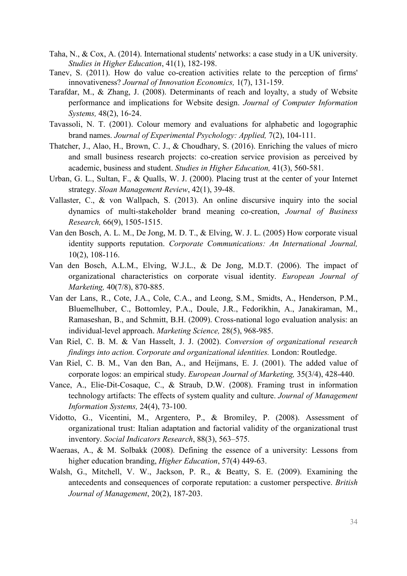- Taha, N., & Cox, A. (2014). International students' networks: a case study in a UK university. *Studies in Higher Education*, 41(1), 182-198.
- Tanev, S. (2011). How do value co-creation activities relate to the perception of firms' innovativeness? *Journal of Innovation Economics,* 1(7), 131-159.
- Tarafdar, M., & Zhang, J. (2008). Determinants of reach and loyalty, a study of Website performance and implications for Website design. *Journal of Computer Information Systems,* 48(2), 16-24.
- Tavassoli, N. T. (2001). Colour memory and evaluations for alphabetic and logographic brand names. *Journal of Experimental Psychology: Applied,* 7(2), 104-111.
- Thatcher, J., Alao, H., Brown, C. J., & Choudhary, S. (2016). Enriching the values of micro and small business research projects: co-creation service provision as perceived by academic, business and student. *Studies in Higher Education,* 41(3), 560-581.
- Urban, G. L., Sultan, F., & Qualls, W. J. (2000). Placing trust at the center of your Internet strategy. *Sloan Management Review*, 42(1), 39-48.
- Vallaster, C., & von Wallpach, S. (2013). An online discursive inquiry into the social dynamics of multi-stakeholder brand meaning co-creation, *Journal of Business Research,* 66(9), 1505-1515.
- Van den Bosch, A. L. M., De Jong, M. D. T., & Elving, W. J. L. (2005) How corporate visual identity supports reputation. *Corporate Communications: An International Journal,* 10(2), 108-116.
- Van den Bosch, A.L.M., Elving, W.J.L., & De Jong, M.D.T. (2006). The impact of organizational characteristics on corporate visual identity. *European Journal of Marketing,* 40(7/8), 870-885.
- Van der Lans, R., Cote, J.A., Cole, C.A., and Leong, S.M., Smidts, A., Henderson, P.M., Bluemelhuber, C., Bottomley, P.A., Doule, J.R., Fedorikhin, A., Janakiraman, M., Ramaseshan, B., and Schmitt, B.H. (2009). Cross-national logo evaluation analysis: an individual-level approach. *Marketing Science,* 28(5), 968-985.
- Van Riel, C. B. M. & Van Hasselt, J. J. (2002). *Conversion of organizational research findings into action. Corporate and organizational identities.* London: Routledge.
- Van Riel, C. B. M., Van den Ban, A., and Heijmans, E. J. (2001). The added value of corporate logos: an empirical study. *European Journal of Marketing,* 35(3/4), 428-440.
- Vance, A., Elie-Dit-Cosaque, C., & Straub, D.W. (2008). Framing trust in information technology artifacts: The effects of system quality and culture. *Journal of Management Information Systems,* 24(4), 73-100.
- Vidotto, G., Vicentini, M., Argentero, P., & Bromiley, P. (2008). Assessment of organizational trust: Italian adaptation and factorial validity of the organizational trust inventory. *Social Indicators Research*, 88(3), 563–575.
- Waeraas, A., & M. Solbakk (2008). Defining the essence of a university: Lessons from higher education branding, *Higher Education*, 57(4) 449-63.
- Walsh, G., Mitchell, V. W., Jackson, P. R., & Beatty, S. E. (2009). Examining the antecedents and consequences of corporate reputation: a customer perspective. *British Journal of Management*, 20(2), 187-203.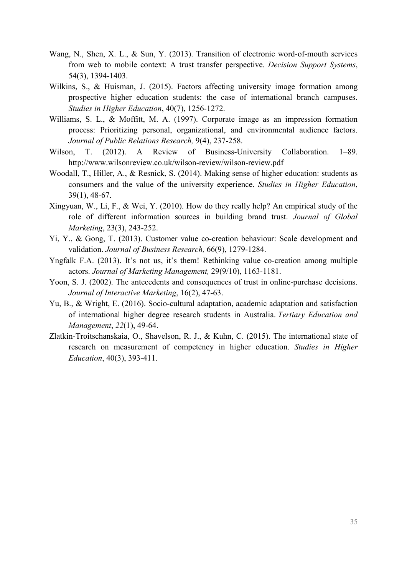- Wang, N., Shen, X. L., & Sun, Y. (2013). Transition of electronic word-of-mouth services from web to mobile context: A trust transfer perspective. *Decision Support Systems*, 54(3), 1394-1403.
- Wilkins, S., & Huisman, J. (2015). Factors affecting university image formation among prospective higher education students: the case of international branch campuses. *Studies in Higher Education*, 40(7), 1256-1272.
- Williams, S. L., & Moffitt, M. A. (1997). Corporate image as an impression formation process: Prioritizing personal, organizational, and environmental audience factors. *Journal of Public Relations Research,* 9(4), 237-258.
- Wilson, T. (2012). A Review of Business-University Collaboration. 1–89. http://www.wilsonreview.co.uk/wilson-review/wilson-review.pdf
- Woodall, T., Hiller, A., & Resnick, S. (2014). Making sense of higher education: students as consumers and the value of the university experience. *Studies in Higher Education*, 39(1), 48-67.
- Xingyuan, W., Li, F., & Wei, Y. (2010). How do they really help? An empirical study of the role of different information sources in building brand trust. *Journal of Global Marketing*, 23(3), 243-252.
- Yi, Y., & Gong, T. (2013). Customer value co-creation behaviour: Scale development and validation. *Journal of Business Research,* 66(9), 1279-1284.
- Yngfalk F.A. (2013). It's not us, it's them! Rethinking value co-creation among multiple actors. *Journal of Marketing Management,* 29(9/10), 1163-1181.
- Yoon, S. J. (2002). The antecedents and consequences of trust in online-purchase decisions. *Journal of Interactive Marketing*, 16(2), 47-63.
- Yu, B., & Wright, E. (2016). Socio-cultural adaptation, academic adaptation and satisfaction of international higher degree research students in Australia. *Tertiary Education and Management*, *22*(1), 49-64.
- Zlatkin-Troitschanskaia, O., Shavelson, R. J., & Kuhn, C. (2015). The international state of research on measurement of competency in higher education. *Studies in Higher Education*, 40(3), 393-411.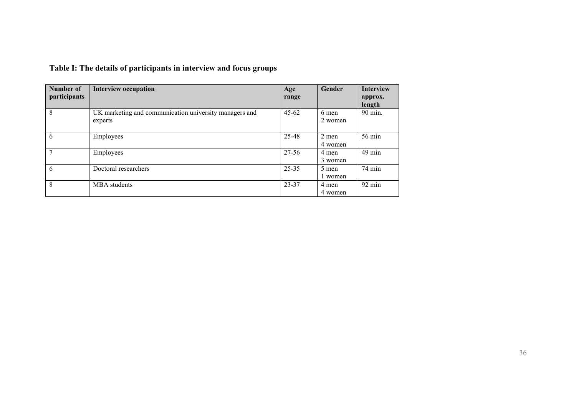| Number of     | <b>Interview occupation</b>                                       | Age       | Gender             | <b>Interview</b>  |
|---------------|-------------------------------------------------------------------|-----------|--------------------|-------------------|
| participants  |                                                                   | range     |                    | approx.<br>length |
| 8             | UK marketing and communication university managers and<br>experts | $45 - 62$ | 6 men<br>2 women   | 90 min.           |
| 6             | Employees                                                         | 25-48     | $2$ men<br>4 women | 56 min            |
| $\mathcal{I}$ | Employees                                                         | 27-56     | 4 men<br>3 women   | 49 min            |
| 6             | Doctoral researchers                                              | $25 - 35$ | 5 men<br>1 women   | 74 min            |
| 8             | MBA students                                                      | 23-37     | 4 men<br>4 women   | $92 \text{ min}$  |

# **Table I: The details of participants in interview and focus groups**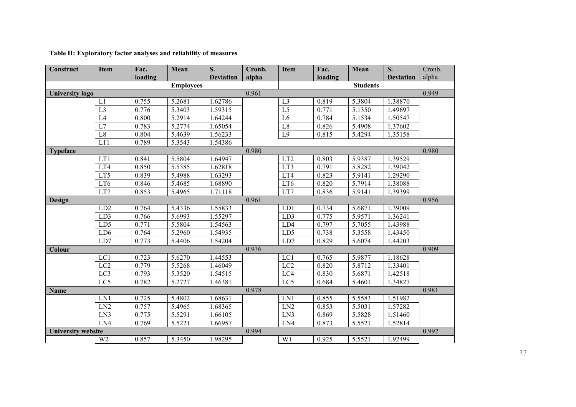### **Table II: Exploratory factor analyses and reliability of measures**

| Construct                 | Item             | Fac.    | Mean             | S.               | Cronb. | Item            | Fac.    | Mean            | S.               | Cronb. |
|---------------------------|------------------|---------|------------------|------------------|--------|-----------------|---------|-----------------|------------------|--------|
|                           |                  | loading |                  | <b>Deviation</b> | alpha  |                 | loading |                 | <b>Deviation</b> | alpha  |
|                           |                  |         | <b>Employees</b> |                  |        |                 |         | <b>Students</b> |                  |        |
| <b>University logo</b>    |                  |         |                  |                  | 0.961  |                 |         |                 |                  | 0.949  |
|                           | L1               | 0.755   | 5.2681           | 1.62786          |        | L <sub>3</sub>  | 0.819   | 5.3804          | 1.38870          |        |
|                           | L <sub>3</sub>   | 0.776   | 5.3403           | 1.59315          |        | $\overline{L5}$ | 0.771   | 5.1350          | 1.49697          |        |
|                           | L4               | 0.800   | 5.2914           | 1.64244          |        | L <sub>6</sub>  | 0.784   | 5.1534          | 1.50547          |        |
|                           | L7               | 0.783   | 5.2774           | 1.65054          |        | L8              | 0.826   | 5.4908          | 1.37602          |        |
|                           | L <sub>8</sub>   | 0.804   | 5.4639           | 1.56233          |        | $\overline{L9}$ | 0.815   | 5.4294          | 1.35158          |        |
|                           | L11              | 0.789   | 5.3543           | 1.54386          |        |                 |         |                 |                  |        |
| <b>Typeface</b>           |                  |         |                  |                  | 0.980  |                 |         |                 |                  | 0.980  |
|                           | LT1              | 0.841   | 5.5804           | 1.64947          |        | LT <sub>2</sub> | 0.803   | 5.9387          | 1.39529          |        |
|                           | LT4              | 0.850   | 5.5385           | 1.62818          |        | LT3             | 0.791   | 5.8282          | 1.39042          |        |
|                           | LT5              | 0.839   | 5.4988           | 1.63293          |        | LT4             | 0.823   | 5.9141          | 1.29290          |        |
|                           | LT6              | 0.846   | 5.4685           | 1.68890          |        | LT6             | 0.820   | 5.7914          | 1.38088          |        |
|                           | LT7              | 0.853   | 5.4965           | 1.71118          |        | LT7             | 0.836   | 5.9141          | 1.39399          |        |
| Design                    |                  |         |                  |                  | 0.961  |                 |         |                 |                  | 0.956  |
|                           | LD <sub>2</sub>  | 0.764   | 5.4336           | 1.55833          |        | LD1             | 0.734   | 5.6871          | 1.39009          |        |
|                           | LD3              | 0.766   | 5.6993           | 1.55297          |        | LD3             | 0.775   | 5.9571          | 1.36241          |        |
|                           | LD5              | 0.771   | 5.5804           | 1.54563          |        | LD4             | 0.797   | 5.7055          | 1.43988          |        |
|                           | LD <sub>6</sub>  | 0.764   | 5.2960           | 1.54935          |        | LD5             | 0.738   | 5.3558          | 1.43450          |        |
|                           | LD7              | 0.773   | 5.4406           | 1.54204          |        | LD7             | 0.829   | 5.6074          | 1.44203          |        |
| Colour                    |                  |         |                  |                  | 0.936  |                 |         |                 |                  | 0.909  |
|                           | LC1              | 0.723   | 5.6270           | 1.44553          |        | LC1             | 0.765   | 5.9877          | 1.18628          |        |
|                           | $\overline{LC2}$ | 0.779   | 5.5268           | 1.46049          |        | LC <sub>2</sub> | 0.820   | 5.8712          | 1.33401          |        |
|                           | LC3              | 0.793   | 5.3520           | 1.54515          |        | LC4             | 0.830   | 5.6871          | 1.42518          |        |
|                           | LC5              | 0.782   | 5.2727           | 1.46381          |        | LC5             | 0.684   | 5.4601          | 1.34827          |        |
| <b>Name</b>               |                  |         |                  |                  | 0.978  |                 |         |                 |                  | 0.981  |
|                           | LN1              | 0.725   | 5.4802           | 1.68631          |        | LN1             | 0.855   | 5.5583          | 1.51982          |        |
|                           | LN2              | 0.757   | 5.4965           | 1.68365          |        | LN2             | 0.853   | 5.5031          | 1.57282          |        |
|                           | LN3              | 0.775   | 5.5291           | 1.66105          |        | LN3             | 0.869   | 5.5828          | 1.51460          |        |
|                           | LN4              | 0.769   | 5.5221           | 1.66957          |        | LN4             | 0.873   | 5.5521          | 1.52814          |        |
| <b>University website</b> |                  |         |                  |                  | 0.994  |                 |         |                 |                  | 0.992  |
|                           | W <sub>2</sub>   | 0.857   | 5.3450           | 1.98295          |        | W1              | 0.925   | 5.5521          | 1.92499          |        |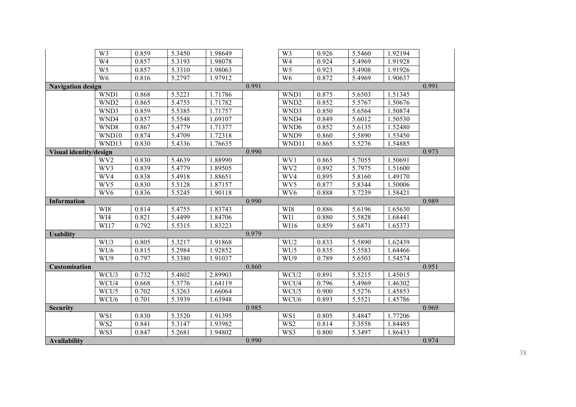|                          | $\overline{W}$          | 0.859 | 5.3450 | 1.98649 |       | W3               | 0.926 | 5.5460 | 1.92194 |       |
|--------------------------|-------------------------|-------|--------|---------|-------|------------------|-------|--------|---------|-------|
|                          | $\overline{W4}$         | 0.857 | 5.3193 | 1.98078 |       | $\overline{W4}$  | 0.924 | 5.4969 | 1.91928 |       |
|                          | $\overline{W5}$         | 0.857 | 5.3310 | 1.98063 |       | W <sub>5</sub>   | 0.923 | 5.4908 | 1.91926 |       |
|                          | W <sub>6</sub>          | 0.816 | 5.2797 | 1.97912 |       | W <sub>6</sub>   | 0.872 | 5.4969 | 1.90637 |       |
| <b>Navigation design</b> |                         |       |        |         | 0.991 |                  |       |        |         | 0.991 |
|                          | WND1                    | 0.868 | 5.5221 | 1.71786 |       | WND1             | 0.875 | 5.6503 | 1.51345 |       |
|                          | WND <sub>2</sub>        | 0.865 | 5.4755 | 1.71782 |       | WND <sub>2</sub> | 0.852 | 5.5767 | 1.50676 |       |
|                          | WND3                    | 0.859 | 5.5385 | 1.71757 |       | WND3             | 0.850 | 5.6564 | 1.50874 |       |
|                          | WND4                    | 0.857 | 5.5548 | 1.69107 |       | WND4             | 0.849 | 5.6012 | 1.50530 |       |
|                          | WND8                    | 0.867 | 5.4779 | 1.71377 |       | WND6             | 0.852 | 5.6135 | 1.52480 |       |
|                          | WND10                   | 0.874 | 5.4709 | 1.72318 |       | WND9             | 0.860 | 5.5890 | 1.53450 |       |
|                          | WND13                   | 0.830 | 5.4336 | 1.76635 |       | WND11            | 0.865 | 5.5276 | 1.54885 |       |
| Visual identity/design   |                         |       |        |         | 0.990 |                  |       |        |         | 0.973 |
|                          | WV <sub>2</sub>         | 0.830 | 5.4639 | 1.88990 |       | WV1              | 0.865 | 5.7055 | 1.50691 |       |
|                          | WV3                     | 0.839 | 5.4779 | 1.89505 |       | WV <sub>2</sub>  | 0.892 | 5.7975 | 1.51600 |       |
|                          | WV4                     | 0.838 | 5.4918 | 1.88651 |       | WV4              | 0.895 | 5.8160 | 1.49170 |       |
|                          | WV5                     | 0.830 | 5.5128 | 1.87157 |       | WV5              | 0.877 | 5.8344 | 1.50006 |       |
|                          | WV <sub>6</sub>         | 0.836 | 5.5245 | 1.90118 |       | WV <sub>6</sub>  | 0.888 | 5.7239 | 1.58421 |       |
|                          |                         |       |        |         |       |                  |       |        |         |       |
| <b>Information</b>       |                         |       |        |         | 0.990 |                  |       |        |         | 0.989 |
|                          | WI8                     | 0.814 | 5.4755 | 1.83743 |       | WI8              | 0.886 | 5.6196 | 1.65630 |       |
|                          | $\overline{\text{W14}}$ | 0.821 | 5.4499 | 1.84706 |       | WI1              | 0.880 | 5.5828 | 1.68441 |       |
|                          | WI17                    | 0.792 | 5.5315 | 1.83223 |       | WI16             | 0.859 | 5.6871 | 1.65373 |       |
| <b>Usability</b>         |                         |       |        |         | 0.979 |                  |       |        |         |       |
|                          | WU3                     | 0.805 | 5.3217 | 1.91868 |       | WU <sub>2</sub>  | 0.833 | 5.5890 | 1.62439 |       |
|                          | WU <sub>6</sub>         | 0.815 | 5.2984 | 1.92852 |       | WU5              | 0.835 | 5.5583 | 1.64466 |       |
|                          | WU9                     | 0.797 | 5.3380 | 1.91037 |       | WU9              | 0.789 | 5.6503 | 1.54574 |       |
| <b>Customisation</b>     |                         |       |        |         | 0.860 |                  |       |        |         | 0.951 |
|                          | WCU3                    | 0.732 | 5.4802 | 2.89903 |       | WCU <sub>2</sub> | 0.891 | 5.5215 | 1.45015 |       |
|                          | WCU4                    | 0.668 | 5.3776 | 1.64119 |       | WCU4             | 0.796 | 5.4969 | 1.46302 |       |
|                          | WCU5                    | 0.702 | 5.3263 | 1.66064 |       | WCU <sub>5</sub> | 0.900 | 5.5276 | 1.45853 |       |
|                          | WCU <sub>6</sub>        | 0.701 | 5.3939 | 1.63948 |       | WCU <sub>6</sub> | 0.893 | 5.5521 | 1.45786 |       |
| <b>Security</b>          |                         |       |        |         | 0.985 |                  |       |        |         | 0.969 |
|                          | WS1                     | 0.830 | 5.3520 | 1.91395 |       | WS1              | 0.805 | 5.4847 | 1.77206 |       |
|                          | WS <sub>2</sub>         | 0.841 | 5.3147 | 1.93982 |       | WS <sub>2</sub>  | 0.814 | 5.3558 | 1.84485 |       |
|                          | WS3                     | 0.847 | 5.2681 | 1.94802 | 0.990 | WS3              | 0.800 | 5.3497 | 1.86433 | 0.974 |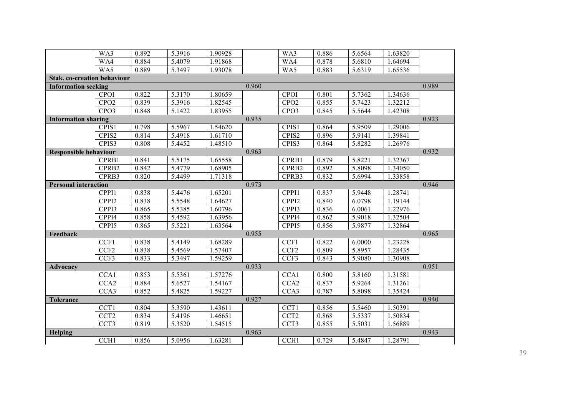|                                    | WA3              | 0.892 | 5.3916 | 1.90928 |       | WA3               | 0.886 | 5.6564 | 1.63820 |       |
|------------------------------------|------------------|-------|--------|---------|-------|-------------------|-------|--------|---------|-------|
|                                    | WA4              | 0.884 | 5.4079 | 1.91868 |       | WA4               | 0.878 | 5.6810 | 1.64694 |       |
|                                    | WA5              | 0.889 | 5.3497 | 1.93078 |       | WA5               | 0.883 | 5.6319 | 1.65536 |       |
| <b>Stak. co-creation behaviour</b> |                  |       |        |         |       |                   |       |        |         |       |
| <b>Information seeking</b>         |                  |       |        |         | 0.960 |                   |       |        |         | 0.989 |
|                                    | <b>CPOI</b>      | 0.822 | 5.3170 | 1.80659 |       | <b>CPOI</b>       | 0.801 | 5.7362 | 1.34636 |       |
|                                    | CPO <sub>2</sub> | 0.839 | 5.3916 | 1.82545 |       | CPO <sub>2</sub>  | 0.855 | 5.7423 | 1.32212 |       |
|                                    | CPO <sub>3</sub> | 0.848 | 5.1422 | 1.83955 |       | CPO <sub>3</sub>  | 0.845 | 5.5644 | 1.42308 |       |
| <b>Information sharing</b>         |                  |       |        |         | 0.935 |                   |       |        |         | 0.923 |
|                                    | CPIS1            | 0.798 | 5.5967 | 1.54620 |       | CPIS1             | 0.864 | 5.9509 | 1.29006 |       |
|                                    | CPIS2            | 0.814 | 5.4918 | 1.61710 |       | CPIS2             | 0.896 | 5.9141 | 1.39841 |       |
|                                    | CPIS3            | 0.808 | 5.4452 | 1.48510 |       | CPIS3             | 0.864 | 5.8282 | 1.26976 |       |
| <b>Responsible behaviour</b>       |                  |       |        |         | 0.963 |                   |       |        |         | 0.932 |
|                                    | CPRB1            | 0.841 | 5.5175 | 1.65558 |       | CPRB1             | 0.879 | 5.8221 | 1.32367 |       |
|                                    | CPRB2            | 0.842 | 5.4779 | 1.68905 |       | CPRB2             | 0.892 | 5.8098 | 1.34050 |       |
|                                    | CPRB3            | 0.820 | 5.4499 | 1.71318 |       | CPRB3             | 0.832 | 5.6994 | 1.33858 |       |
| <b>Personal interaction</b>        |                  |       |        |         | 0.973 |                   |       |        |         | 0.946 |
|                                    | CPPI1            | 0.838 | 5.4476 | 1.65201 |       | CPPI1             | 0.837 | 5.9448 | 1.28741 |       |
|                                    | CPPI2            | 0.838 | 5.5548 | 1.64627 |       | CPPI2             | 0.840 | 6.0798 | 1.19144 |       |
|                                    | CPPI3            | 0.865 | 5.5385 | 1.60796 |       | CPPI3             | 0.836 | 6.0061 | 1.22976 |       |
|                                    | CPPI4            | 0.858 | 5.4592 | 1.63956 |       | CPPI4             | 0.862 | 5.9018 | 1.32504 |       |
|                                    | CPPI5            | 0.865 | 5.5221 | 1.63564 |       | CPP <sub>15</sub> | 0.856 | 5.9877 | 1.32864 |       |
| Feedback                           |                  |       |        |         | 0.955 |                   |       |        |         | 0.965 |
|                                    | CCF1             | 0.838 | 5.4149 | 1.68289 |       | CCF1              | 0.822 | 6.0000 | 1.23228 |       |
|                                    | CCF <sub>2</sub> | 0.838 | 5.4569 | 1.57407 |       | CCF <sub>2</sub>  | 0.809 | 5.8957 | 1.28435 |       |
|                                    | CCF3             | 0.833 | 5.3497 | 1.59259 |       | CCF3              | 0.843 | 5.9080 | 1.30908 |       |
| <b>Advocacy</b>                    |                  |       |        |         | 0.933 |                   |       |        |         | 0.951 |
|                                    | CCA1             | 0.853 | 5.5361 | 1.57276 |       | CCA1              | 0.800 | 5.8160 | 1.31581 |       |
|                                    | CCA <sub>2</sub> | 0.884 | 5.6527 | 1.54167 |       | CCA2              | 0.837 | 5.9264 | 1.31261 |       |
|                                    | CCA3             | 0.852 | 5.4825 | 1.59227 |       | CCA3              | 0.787 | 5.8098 | 1.35424 |       |
| <b>Tolerance</b>                   |                  |       |        |         | 0.927 |                   |       |        |         | 0.940 |
|                                    | CCT1             | 0.804 | 5.3590 | 1.43611 |       | CCT1              | 0.856 | 5.5460 | 1.50391 |       |
|                                    | CCT <sub>2</sub> | 0.834 | 5.4196 | 1.46651 |       | CCT <sub>2</sub>  | 0.868 | 5.5337 | 1.50834 |       |
|                                    | CCT3             | 0.819 | 5.3520 | 1.54515 |       | CCT <sub>3</sub>  | 0.855 | 5.5031 | 1.56889 |       |
| Helping                            |                  |       |        |         | 0.963 |                   |       |        |         | 0.943 |
|                                    | CCH <sub>1</sub> | 0.856 | 5.0956 | 1.63281 |       | CCH <sub>1</sub>  | 0.729 | 5.4847 | 1.28791 |       |
|                                    |                  |       |        |         |       |                   |       |        |         |       |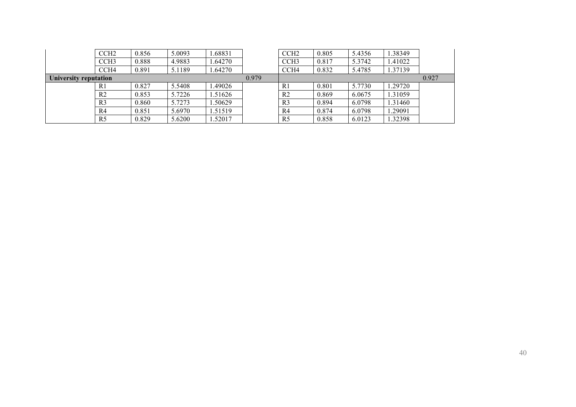|                       | CCH2           | 0.856 | 5.0093 | .68831  |       | CCH <sub>2</sub> | 0.805 | 5.4356 | 1.38349 |       |
|-----------------------|----------------|-------|--------|---------|-------|------------------|-------|--------|---------|-------|
|                       | CCH3           | 0.888 | 4.9883 | .64270  |       | CCH <sub>3</sub> | 0.817 | 5.3742 | .41022  |       |
|                       | CCH4           | 0.891 | 5.1189 | .64270  |       | CCH <sub>4</sub> | 0.832 | 5.4785 | 1.37139 |       |
| University reputation |                |       |        |         | 0.979 |                  |       |        |         | 0.927 |
|                       | R <sub>1</sub> | 0.827 | 5.5408 | .49026  |       | R <sub>1</sub>   | 0.801 | 5.7730 | .29720  |       |
|                       | R <sub>2</sub> | 0.853 | 5.7226 | .51626  |       | R <sub>2</sub>   | 0.869 | 6.0675 | 1.31059 |       |
|                       | R <sub>3</sub> | 0.860 | 5.7273 | .50629  |       | R <sub>3</sub>   | 0.894 | 6.0798 | 1.31460 |       |
|                       | R4             | 0.851 | 5.6970 | 1.51519 |       | R <sub>4</sub>   | 0.874 | 6.0798 | .29091  |       |
|                       | R <sub>5</sub> | 0.829 | 5.6200 | .52017  |       | R <sub>5</sub>   | 0.858 | 6.0123 | 1.32398 |       |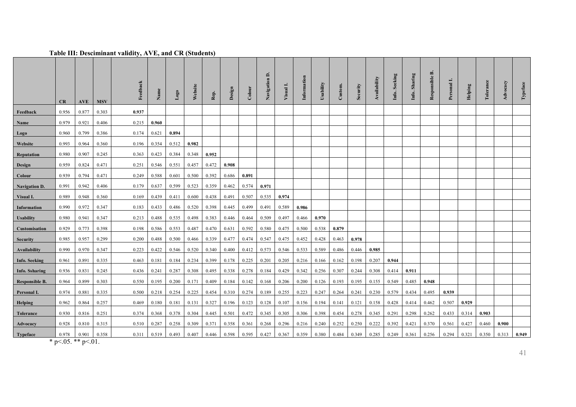#### **Table III: Desciminant validity, AVE, and CR (Students)**

|                                 | CR                  | AVE                 | <b>MSV</b> | Feedback | Name  | Logo  | Website | Rep.  | Design | Colour | $\Delta$<br>Navigation | Visual | Information | Usability | Custom. | Security | Availability | Seeking<br>Info. | Sharing<br>Info. | ≃<br>Responsible | Personal | Helping | Tolerance | Advocacy | Typeface |
|---------------------------------|---------------------|---------------------|------------|----------|-------|-------|---------|-------|--------|--------|------------------------|--------|-------------|-----------|---------|----------|--------------|------------------|------------------|------------------|----------|---------|-----------|----------|----------|
| Feedback                        | 0.956               | 0.877               | 0.303      | 0.937    |       |       |         |       |        |        |                        |        |             |           |         |          |              |                  |                  |                  |          |         |           |          |          |
| Name                            | 0.979               | 0.921               | 0.406      | 0.215    | 0.960 |       |         |       |        |        |                        |        |             |           |         |          |              |                  |                  |                  |          |         |           |          |          |
| Logo                            | 0.960               | 0.799               | 0.386      | 0.174    | 0.621 | 0.894 |         |       |        |        |                        |        |             |           |         |          |              |                  |                  |                  |          |         |           |          |          |
| Website                         | 0.993               | 0.964               | 0.360      | 0.196    | 0.354 | 0.512 | 0.982   |       |        |        |                        |        |             |           |         |          |              |                  |                  |                  |          |         |           |          |          |
| Reputation                      | 0.980               | 0.907               | 0.245      | 0.363    | 0.423 | 0.384 | 0.348   | 0.952 |        |        |                        |        |             |           |         |          |              |                  |                  |                  |          |         |           |          |          |
| <b>Design</b>                   | 0.959               | 0.824               | 0.471      | 0.251    | 0.546 | 0.551 | 0.457   | 0.472 | 0.908  |        |                        |        |             |           |         |          |              |                  |                  |                  |          |         |           |          |          |
| Colour                          | 0.939               | 0.794               | 0.471      | 0.249    | 0.588 | 0.601 | 0.500   | 0.392 | 0.686  | 0.891  |                        |        |             |           |         |          |              |                  |                  |                  |          |         |           |          |          |
| <b>Navigation D.</b>            | 0.991               | 0.942               | 0.406      | 0.179    | 0.637 | 0.599 | 0.523   | 0.359 | 0.462  | 0.574  | 0.971                  |        |             |           |         |          |              |                  |                  |                  |          |         |           |          |          |
| Visual I.                       | 0.989               | 0.948               | 0.360      | 0.169    | 0.439 | 0.411 | 0.600   | 0.438 | 0.491  | 0.507  | 0.535                  | 0.974  |             |           |         |          |              |                  |                  |                  |          |         |           |          |          |
| <b>Information</b>              | 0.990               | 0.972               | 0.347      | 0.183    | 0.433 | 0.486 | 0.520   | 0.398 | 0.445  | 0.499  | 0.491                  | 0.589  | 0.986       |           |         |          |              |                  |                  |                  |          |         |           |          |          |
| <b>Usability</b>                | 0.980               | 0.941               | 0.347      | 0.213    | 0.488 | 0.535 | 0.498   | 0.383 | 0.446  | 0.464  | 0.509                  | 0.497  | 0.466       | 0.970     |         |          |              |                  |                  |                  |          |         |           |          |          |
| Customisation                   | 0.929               | 0.773               | 0.398      | 0.198    | 0.586 | 0.553 | 0.487   | 0.470 | 0.631  | 0.592  | 0.580                  | 0.475  | 0.500       | 0.538     | 0.879   |          |              |                  |                  |                  |          |         |           |          |          |
| <b>Security</b>                 | 0.985               | 0.957               | 0.299      | 0.200    | 0.488 | 0.500 | 0.466   | 0.339 | 0.477  | 0.474  | 0.547                  | 0.475  | 0.452       | 0.428     | 0.463   | 0.978    |              |                  |                  |                  |          |         |           |          |          |
| Availability                    | 0.990               | 0.970               | 0.347      | 0.223    | 0.422 | 0.546 | 0.520   | 0.340 | 0.400  | 0.412  | 0.573                  | 0.546  | 0.533       | 0.589     | 0.486   | 0.446    | 0.985        |                  |                  |                  |          |         |           |          |          |
| <b>Info. Seeking</b>            | 0.961               | 0.891               | 0.335      | 0.463    | 0.181 | 0.184 | 0.234   | 0.399 | 0.178  | 0.225  | 0.201                  | 0.205  | 0.216       | 0.166     | 0.162   | 0.198    | 0.207        | 0.944            |                  |                  |          |         |           |          |          |
| <b>Info. Ssharing</b>           | 0.936               | 0.831               | 0.245      | 0.436    | 0.241 | 0.287 | 0.308   | 0.495 | 0.338  | 0.278  | 0.184                  | 0.429  | 0.342       | 0.256     | 0.307   | 0.244    | 0.308        | 0.414            | 0.911            |                  |          |         |           |          |          |
| <b>Responsible B.</b>           | 0.964               | 0.899               | 0.303      | 0.550    | 0.195 | 0.200 | 0.171   | 0.409 | 0.184  | 0.142  | 0.168                  | 0.206  | 0.200       | 0.126     | 0.193   | 0.195    | 0.155        | 0.549            | 0.485            | 0.948            |          |         |           |          |          |
| Personal I.                     | 0.974               | 0.881               | 0.335      | 0.500    | 0.218 | 0.254 | 0.225   | 0.454 | 0.310  | 0.274  | 0.189                  | 0.255  | 0.223       | 0.247     | 0.264   | 0.241    | 0.230        | 0.579            | 0.434            | 0.495            | 0.939    |         |           |          |          |
| <b>Helping</b>                  | 0.962               | 0.864               | 0.257      | 0.469    | 0.180 | 0.181 | 0.131   | 0.327 | 0.196  | 0.123  | 0.128                  | 0.107  | 0.156       | 0.194     | 0.141   | 0.121    | 0.158        | 0.428            | 0.414            | 0.462            | 0.507    | 0.929   |           |          |          |
| Tolerance                       | 0.930               | 0.816               | 0.251      | 0.374    | 0.368 | 0.378 | 0.304   | 0.445 | 0.501  | 0.472  | 0.345                  | 0.305  | 0.306       | 0.398     | 0.454   | 0.278    | 0.345        | 0.291            | 0.298            | 0.262            | 0.433    | 0.314   | 0.903     |          |          |
| Advocacy                        | 0.928               | 0.810               | 0.315      | 0.510    | 0.287 | 0.258 | 0.309   | 0.371 | 0.358  | 0.361  | 0.268                  | 0.296  | 0.216       | 0.240     | 0.252   | 0.250    | 0.222        | 0.392            | 0.421            | 0.370            | 0.561    | 0.427   | 0.460     | 0.900    |          |
| <b>Typeface</b><br>$\mathbf{r}$ | 0.978<br>$205 + 12$ | 0.901<br>$\sim$ 0.1 | 0.358      | 0.311    | 0.519 | 0.493 | 0.407   | 0.446 | 0.598  | 0.595  | 0.427                  | 0.367  | 0.359       | 0.380     | 0.484   | 0.349    | 0.285        | 0.249            | 0.361            | 0.256            | 0.294    | 0.321   | 0.350     | 0.313    | 0.949    |

\* p<.05. \*\* p<.01.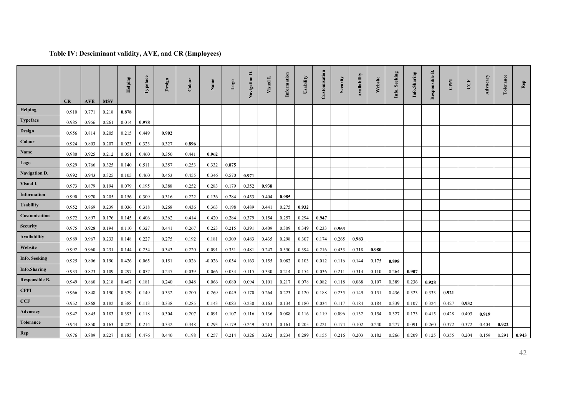### **Table IV: Desciminant validity, AVE, and CR (Employees)**

|                      |       |            |            | Helping | Typeface | Design | Colour   | Name     | $\log_{0}$ | a.<br>Navigation | Visual] | Information | Usability | Customisation | Security | Availability | Website | Seeking<br>Info. | Info.Sharing | ≃<br>Responsible | CPPI  | CCF   | Advocacy | Tolerance | Rep   |
|----------------------|-------|------------|------------|---------|----------|--------|----------|----------|------------|------------------|---------|-------------|-----------|---------------|----------|--------------|---------|------------------|--------------|------------------|-------|-------|----------|-----------|-------|
|                      | CR    | <b>AVE</b> | <b>MSV</b> |         |          |        |          |          |            |                  |         |             |           |               |          |              |         |                  |              |                  |       |       |          |           |       |
| Helping              | 0.910 | 0.771      | 0.218      | 0.878   |          |        |          |          |            |                  |         |             |           |               |          |              |         |                  |              |                  |       |       |          |           |       |
| <b>Typeface</b>      | 0.985 | 0.956      | 0.261      | 0.014   | 0.978    |        |          |          |            |                  |         |             |           |               |          |              |         |                  |              |                  |       |       |          |           |       |
| <b>Design</b>        | 0.956 | 0.814      | 0.205      | 0.215   | 0.449    | 0.902  |          |          |            |                  |         |             |           |               |          |              |         |                  |              |                  |       |       |          |           |       |
| Colour               | 0.924 | 0.803      | 0.207      | 0.023   | 0.323    | 0.327  | 0.896    |          |            |                  |         |             |           |               |          |              |         |                  |              |                  |       |       |          |           |       |
| Name                 | 0.980 | 0.925      | 0.212      | 0.051   | 0.460    | 0.350  | 0.441    | 0.962    |            |                  |         |             |           |               |          |              |         |                  |              |                  |       |       |          |           |       |
| Logo                 | 0.929 | 0.766      | 0.325      | 0.140   | 0.511    | 0.357  | 0.253    | 0.332    | 0.875      |                  |         |             |           |               |          |              |         |                  |              |                  |       |       |          |           |       |
| <b>Navigation D.</b> | 0.992 | 0.943      | 0.325      | 0.105   | 0.460    | 0.453  | 0.455    | 0.346    | 0.570      | 0.971            |         |             |           |               |          |              |         |                  |              |                  |       |       |          |           |       |
| Visual I.            | 0.973 | 0.879      | 0.194      | 0.079   | 0.195    | 0.388  | 0.252    | 0.283    | 0.179      | 0.352            | 0.938   |             |           |               |          |              |         |                  |              |                  |       |       |          |           |       |
| <b>Information</b>   | 0.990 | 0.970      | 0.205      | 0.156   | 0.309    | 0.316  | 0.222    | 0.136    | 0.284      | 0.453            | 0.404   | 0.985       |           |               |          |              |         |                  |              |                  |       |       |          |           |       |
| <b>Usability</b>     | 0.952 | 0.869      | 0.239      | 0.036   | 0.318    | 0.268  | 0.436    | 0.363    | 0.198      | 0.489            | 0.441   | 0.275       | 0.932     |               |          |              |         |                  |              |                  |       |       |          |           |       |
| Customisation        | 0.972 | 0.897      | 0.176      | 0.145   | 0.406    | 0.362  | 0.414    | 0.420    | 0.284      | 0.379            | 0.154   | 0.257       | 0.294     | 0.947         |          |              |         |                  |              |                  |       |       |          |           |       |
| <b>Security</b>      | 0.975 | 0.928      | 0.194      | 0.110   | 0.327    | 0.441  | 0.267    | 0.223    | 0.215      | 0.391            | 0.409   | 0.309       | 0.349     | 0.233         | 0.963    |              |         |                  |              |                  |       |       |          |           |       |
| Availability         | 0.989 | 0.967      | 0.233      | 0.148   | 0.227    | 0.275  | 0.192    | 0.181    | 0.309      | 0.483            | 0.435   | 0.298       | 0.307     | 0.174         | 0.265    | 0.983        |         |                  |              |                  |       |       |          |           |       |
| Website              | 0.992 | 0.960      | 0.231      | 0.144   | 0.254    | 0.343  | 0.220    | 0.091    | 0.351      | 0.481            | 0.247   | 0.350       | 0.394     | 0.216         | 0.433    | 0.318        | 0.980   |                  |              |                  |       |       |          |           |       |
| <b>Info. Seeking</b> | 0.925 | 0.806      | 0.190      | 0.426   | 0.065    | 0.151  | 0.026    | $-0.026$ | 0.054      | 0.163            | 0.155   | 0.082       | 0.103     | 0.012         | 0.116    | 0.144        | 0.175   | 0.898            |              |                  |       |       |          |           |       |
| <b>Info.Sharing</b>  | 0.933 | 0.823      | 0.109      | 0.297   | 0.057    | 0.247  | $-0.039$ | 0.066    | 0.034      | 0.115            | 0.330   | 0.214       | 0.154     | 0.036         | 0.211    | 0.314        | 0.110   | 0.264            | 0.907        |                  |       |       |          |           |       |
| Responsible B.       | 0.949 | 0.860      | 0.218      | 0.467   | 0.181    | 0.240  | 0.048    | 0.066    | 0.080      | 0.094            | 0.101   | 0.217       | 0.078     | 0.082         | 0.118    | 0.068        | 0.107   | 0.389            | 0.236        | 0.928            |       |       |          |           |       |
| <b>CPPI</b>          | 0.966 | 0.848      | 0.190      | 0.329   | 0.149    | 0.332  | 0.200    | 0.269    | 0.049      | 0.170            | 0.264   | 0.223       | 0.120     | 0.188         | 0.235    | 0.149        | 0.151   | 0.436            | 0.323        | 0.333            | 0.921 |       |          |           |       |
| CCF                  | 0.952 | 0.868      | 0.182      | 0.388   | 0.113    | 0.338  | 0.285    | 0.143    | 0.083      | 0.230            | 0.163   | 0.134       | 0.180     | 0.034         | 0.117    | 0.184        | 0.184   | 0.339            | 0.107        | 0.324            | 0.427 | 0.932 |          |           |       |
| Advocacy             | 0.942 | 0.845      | 0.183      | 0.393   | 0.118    | 0.304  | 0.207    | 0.091    | 0.107      | 0.116            | 0.136   | 0.088       | 0.116     | 0.119         | 0.096    | 0.132        | 0.154   | 0.327            | 0.173        | 0.415            | 0.428 | 0.403 | 0.919    |           |       |
| <b>Tolerance</b>     | 0.944 | 0.850      | 0.163      | 0.222   | 0.214    | 0.332  | 0.348    | 0.293    | 0.179      | 0.249            | 0.213   | 0.161       | 0.205     | 0.221         | 0.174    | 0.102        | 0.240   | 0.277            | 0.091        | 0.260            | 0.372 | 0.372 | 0.404    | 0.922     |       |
| <b>Rep</b>           | 0.976 | 0.889      | 0.227      | 0.185   | 0.476    | 0.440  | 0.198    | 0.257    | 0.214      | 0.326            | 0.292   | 0.234       | 0.289     | 0.155         | 0.216    | 0.203        | 0.182   | 0.266            | 0.209        | 0.125            | 0.355 | 0.204 | 0.159    | 0.291     | 0.943 |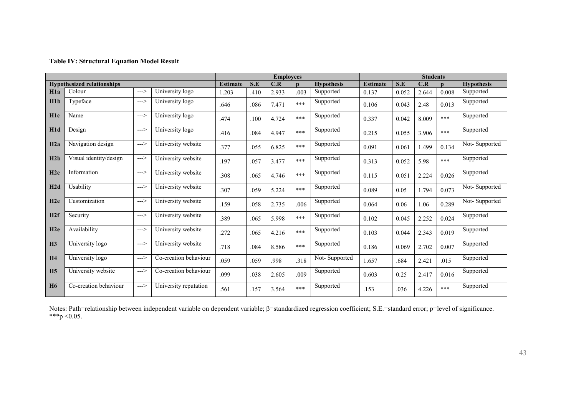#### **Table IV: Structural Equation Model Result**

|                  |                                   |      |                       |                 |      | <b>Employees</b> |      |                   | <b>Students</b> |       |       |       |                   |
|------------------|-----------------------------------|------|-----------------------|-----------------|------|------------------|------|-------------------|-----------------|-------|-------|-------|-------------------|
|                  | <b>Hypothesized relationships</b> |      |                       | <b>Estimate</b> | S.E  | C.R              |      | <b>Hypothesis</b> | <b>Estimate</b> | S.E   | C.R   |       | <b>Hypothesis</b> |
| H1a              | Colour                            | ---> | University logo       | 1.203           | .410 | 2.933            | .003 | Supported         | 0.137           | 0.052 | 2.644 | 0.008 | Supported         |
| H1b              | Typeface                          | ---> | University logo       | .646            | .086 | 7.471            | ***  | Supported         | 0.106           | 0.043 | 2.48  | 0.013 | Supported         |
| H1c              | Name                              | ---> | University logo       | .474            | .100 | 4.724            | ***  | Supported         | 0.337           | 0.042 | 8.009 | ***   | Supported         |
| H1d              | Design                            | ---> | University logo       | .416            | .084 | 4.947            | ***  | Supported         | 0.215           | 0.055 | 3.906 | ***   | Supported         |
| H2a              | Navigation design                 | ---> | University website    | .377            | .055 | 6.825            | ***  | Supported         | 0.091           | 0.061 | 1.499 | 0.134 | Not-Supported     |
| H2b              | Visual identity/design            | ---> | University website    | .197            | .057 | 3.477            | ***  | Supported         | 0.313           | 0.052 | 5.98  | ***   | Supported         |
| H2c              | Information                       | ---> | University website    | .308            | .065 | 4.746            | ***  | Supported         | 0.115           | 0.051 | 2.224 | 0.026 | Supported         |
| H2d              | Usability                         | ---> | University website    | .307            | .059 | 5.224            | ***  | Supported         | 0.089           | 0.05  | 1.794 | 0.073 | Not-Supported     |
| H2e              | Customization                     | ---> | University website    | .159            | .058 | 2.735            | .006 | Supported         | 0.064           | 0.06  | 1.06  | 0.289 | Not-Supported     |
| H2f              | Security                          | ---> | University website    | .389            | .065 | 5.998            | ***  | Supported         | 0.102           | 0.045 | 2.252 | 0.024 | Supported         |
| H <sub>2</sub> e | Availability                      | ---> | University website    | .272            | .065 | 4.216            | ***  | Supported         | 0.103           | 0.044 | 2.343 | 0.019 | Supported         |
| H <sub>3</sub>   | University logo                   | ---> | University website    | .718            | .084 | 8.586            | ***  | Supported         | 0.186           | 0.069 | 2.702 | 0.007 | Supported         |
| <b>H4</b>        | University logo                   | ---> | Co-creation behaviour | .059            | .059 | .998             | .318 | Not-Supported     | 1.657           | .684  | 2.421 | .015  | Supported         |
| H <sub>5</sub>   | University website                | ---> | Co-creation behaviour | .099            | .038 | 2.605            | .009 | Supported         | 0.603           | 0.25  | 2.417 | 0.016 | Supported         |
| <b>H6</b>        | Co-creation behaviour             | ---> | University reputation | .561            | .157 | 3.564            | ***  | Supported         | .153            | .036  | 4.226 | ***   | Supported         |

Notes: Path=relationship between independent variable on dependent variable; β=standardized regression coefficient; S.E.=standard error; p=level of significance. \*\*\*p <  $0.05$ .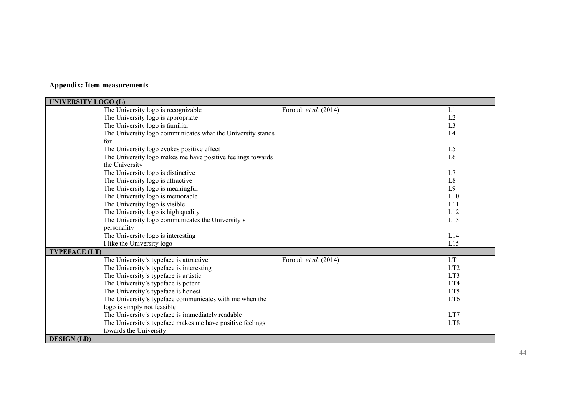### **Appendix: Item measurements**

| <b>UNIVERSITY LOGO (L)</b>                                  |                       |                 |
|-------------------------------------------------------------|-----------------------|-----------------|
| The University logo is recognizable                         | Foroudi et al. (2014) | L1              |
| The University logo is appropriate                          |                       | L2              |
| The University logo is familiar                             |                       | L <sub>3</sub>  |
| The University logo communicates what the University stands |                       | L4              |
| for                                                         |                       |                 |
| The University logo evokes positive effect                  |                       | L5              |
| The University logo makes me have positive feelings towards |                       | L <sub>6</sub>  |
| the University                                              |                       |                 |
| The University logo is distinctive                          |                       | L7              |
| The University logo is attractive                           |                       | L <sub>8</sub>  |
| The University logo is meaningful                           |                       | L <sub>9</sub>  |
| The University logo is memorable                            |                       | L10             |
| The University logo is visible                              |                       | L11             |
| The University logo is high quality                         |                       | L12             |
| The University logo communicates the University's           |                       | L13             |
| personality                                                 |                       |                 |
| The University logo is interesting                          |                       | L14             |
| I like the University logo                                  |                       | L15             |
| <b>TYPEFACE (LT)</b>                                        |                       |                 |
| The University's typeface is attractive                     | Foroudi et al. (2014) | LT1             |
| The University's typeface is interesting                    |                       | LT <sub>2</sub> |
| The University's typeface is artistic                       |                       | LT3             |
| The University's typeface is potent                         |                       | LT4             |
| The University's typeface is honest                         |                       | LT5             |
| The University's typeface communicates with me when the     |                       | LT <sub>6</sub> |
| logo is simply not feasible                                 |                       |                 |
| The University's typeface is immediately readable           |                       | LT7             |
| The University's typeface makes me have positive feelings   |                       | LT8             |
| towards the University                                      |                       |                 |
| <b>DESIGN</b> (LD)                                          |                       |                 |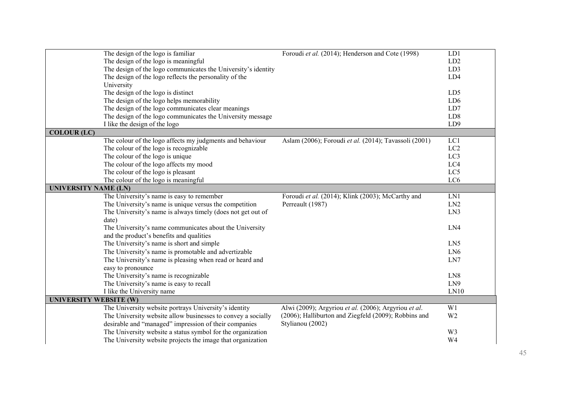|                               | The design of the logo is familiar                            | Foroudi et al. (2014); Henderson and Cote (1998)      | LD1             |
|-------------------------------|---------------------------------------------------------------|-------------------------------------------------------|-----------------|
|                               | The design of the logo is meaningful                          |                                                       | LD2             |
|                               | The design of the logo communicates the University's identity |                                                       | LD3             |
|                               | The design of the logo reflects the personality of the        |                                                       | LD4             |
|                               | University                                                    |                                                       |                 |
|                               | The design of the logo is distinct                            |                                                       | LD5             |
|                               | The design of the logo helps memorability                     |                                                       | LD <sub>6</sub> |
|                               | The design of the logo communicates clear meanings            |                                                       | LD7             |
|                               | The design of the logo communicates the University message    |                                                       | LD <sub>8</sub> |
|                               | I like the design of the logo                                 |                                                       | LD <sub>9</sub> |
| <b>COLOUR (LC)</b>            |                                                               |                                                       |                 |
|                               | The colour of the logo affects my judgments and behaviour     | Aslam (2006); Foroudi et al. (2014); Tavassoli (2001) | LC1             |
|                               | The colour of the logo is recognizable                        |                                                       | LC <sub>2</sub> |
|                               | The colour of the logo is unique                              |                                                       | LC3             |
|                               | The colour of the logo affects my mood                        |                                                       | LC4             |
|                               | The colour of the logo is pleasant                            |                                                       | LC5             |
|                               | The colour of the logo is meaningful                          |                                                       | LC6             |
| <b>UNIVERSITY NAME (LN)</b>   |                                                               |                                                       |                 |
|                               | The University's name is easy to remember                     | Foroudi et al. (2014); Klink (2003); McCarthy and     | LN1             |
|                               | The University's name is unique versus the competition        | Perreault (1987)                                      | LN2             |
|                               | The University's name is always timely (does not get out of   |                                                       | LN3             |
|                               | date)                                                         |                                                       |                 |
|                               | The University's name communicates about the University       |                                                       | LN4             |
|                               | and the product's benefits and qualities                      |                                                       |                 |
|                               | The University's name is short and simple                     |                                                       | LN5             |
|                               | The University's name is promotable and advertizable          |                                                       | LN <sub>6</sub> |
|                               | The University's name is pleasing when read or heard and      |                                                       | LN7             |
|                               | easy to pronounce                                             |                                                       |                 |
|                               | The University's name is recognizable                         |                                                       | LN <sub>8</sub> |
|                               | The University's name is easy to recall                       |                                                       | LN9             |
|                               | I like the University name                                    |                                                       | LN10            |
| <b>UNIVERSITY WEBSITE (W)</b> |                                                               |                                                       |                 |
|                               | The University website portrays University's identity         | Alwi (2009); Argyriou et al. (2006); Argyriou et al.  | W <sub>1</sub>  |
|                               | The University website allow businesses to convey a socially  | (2006); Halliburton and Ziegfeld (2009); Robbins and  | W <sub>2</sub>  |
|                               | desirable and "managed" impression of their companies         | Stylianou (2002)                                      |                 |
|                               | The University website a status symbol for the organization   |                                                       | W3              |
|                               | The University website projects the image that organization   |                                                       | W <sub>4</sub>  |
|                               |                                                               |                                                       |                 |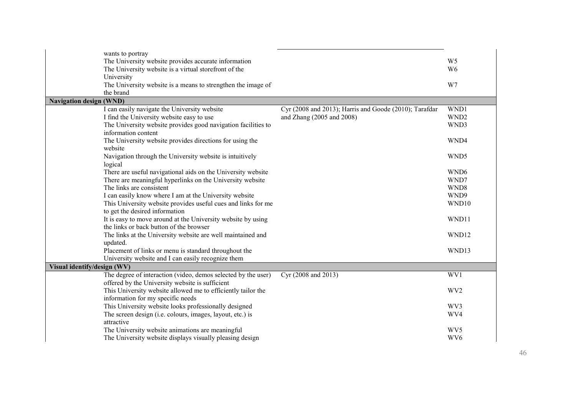| wants to portray               |                                                               |                                                        |                  |
|--------------------------------|---------------------------------------------------------------|--------------------------------------------------------|------------------|
|                                | The University website provides accurate information          |                                                        | W <sub>5</sub>   |
|                                | The University website is a virtual storefront of the         |                                                        | W <sub>6</sub>   |
| University                     |                                                               |                                                        |                  |
|                                | The University website is a means to strengthen the image of  |                                                        | W7               |
| the brand                      |                                                               |                                                        |                  |
| <b>Navigation design (WND)</b> |                                                               |                                                        |                  |
|                                | I can easily navigate the University website                  | Cyr (2008 and 2013); Harris and Goode (2010); Tarafdar | WND1             |
|                                | I find the University website easy to use                     | and Zhang (2005 and 2008)                              | WND <sub>2</sub> |
|                                | The University website provides good navigation facilities to |                                                        | WND3             |
|                                | information content                                           |                                                        |                  |
|                                | The University website provides directions for using the      |                                                        | WND4             |
| website                        |                                                               |                                                        |                  |
|                                | Navigation through the University website is intuitively      |                                                        | WND5             |
| logical                        |                                                               |                                                        |                  |
|                                | There are useful navigational aids on the University website  |                                                        | WND <sub>6</sub> |
|                                | There are meaningful hyperlinks on the University website     |                                                        | WND7             |
|                                | The links are consistent                                      |                                                        | WND <sub>8</sub> |
|                                | I can easily know where I am at the University website        |                                                        | WND9             |
|                                | This University website provides useful cues and links for me |                                                        | WND10            |
|                                | to get the desired information                                |                                                        |                  |
|                                | It is easy to move around at the University website by using  |                                                        | WND11            |
|                                | the links or back button of the browser                       |                                                        |                  |
|                                | The links at the University website are well maintained and   |                                                        | WND12            |
| updated.                       |                                                               |                                                        |                  |
|                                | Placement of links or menu is standard throughout the         |                                                        | WND13            |
|                                | University website and I can easily recognize them            |                                                        |                  |
| Visual identify/design (WV)    |                                                               |                                                        |                  |
|                                | The degree of interaction (video, demos selected by the user) | Cyr (2008 and 2013)                                    | WV1              |
|                                | offered by the University website is sufficient               |                                                        |                  |
|                                | This University website allowed me to efficiently tailor the  |                                                        | WV <sub>2</sub>  |
|                                | information for my specific needs                             |                                                        |                  |
|                                | This University website looks professionally designed         |                                                        | WV3              |
|                                | The screen design (i.e. colours, images, layout, etc.) is     |                                                        | WV4              |
| attractive                     |                                                               |                                                        |                  |
|                                | The University website animations are meaningful              |                                                        | WV5              |
|                                | The University website displays visually pleasing design      |                                                        | WV <sub>6</sub>  |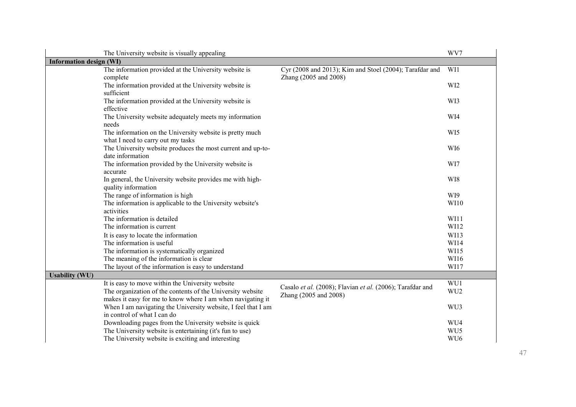|                                | The University website is visually appealing                                           |                                                           | WV7             |
|--------------------------------|----------------------------------------------------------------------------------------|-----------------------------------------------------------|-----------------|
| <b>Information design (WI)</b> |                                                                                        |                                                           |                 |
|                                | The information provided at the University website is                                  | Cyr (2008 and 2013); Kim and Stoel (2004); Tarafdar and   | WI1             |
|                                | complete                                                                               | Zhang (2005 and 2008)                                     |                 |
|                                | The information provided at the University website is                                  |                                                           | WI2             |
|                                | sufficient                                                                             |                                                           |                 |
|                                | The information provided at the University website is                                  |                                                           | WI3             |
|                                | effective                                                                              |                                                           | WI4             |
|                                | The University website adequately meets my information<br>needs                        |                                                           |                 |
|                                | The information on the University website is pretty much                               |                                                           | WI5             |
|                                | what I need to carry out my tasks                                                      |                                                           |                 |
|                                | The University website produces the most current and up-to-                            |                                                           | WI6             |
|                                | date information                                                                       |                                                           |                 |
|                                | The information provided by the University website is                                  |                                                           | WI7             |
|                                | accurate                                                                               |                                                           |                 |
|                                | In general, the University website provides me with high-                              |                                                           | WI8             |
|                                | quality information                                                                    |                                                           |                 |
|                                | The range of information is high                                                       |                                                           | WI9             |
|                                | The information is applicable to the University website's                              |                                                           | WI10            |
|                                | activities                                                                             |                                                           |                 |
|                                | The information is detailed                                                            |                                                           | WI11            |
|                                | The information is current                                                             |                                                           | WI12            |
|                                | It is easy to locate the information                                                   |                                                           | WI13            |
|                                | The information is useful                                                              |                                                           | WI14<br>WI15    |
|                                | The information is systematically organized<br>The meaning of the information is clear |                                                           | WI16            |
|                                | The layout of the information is easy to understand                                    |                                                           | WI17            |
| <b>Usability (WU)</b>          |                                                                                        |                                                           |                 |
|                                | It is easy to move within the University website                                       |                                                           | WU1             |
|                                | The organization of the contents of the University website                             | Casalo et al. (2008); Flavian et al. (2006); Tarafdar and | WU <sub>2</sub> |
|                                | makes it easy for me to know where I am when navigating it                             | Zhang (2005 and 2008)                                     |                 |
|                                | When I am navigating the University website, I feel that I am                          |                                                           | WU3             |
|                                | in control of what I can do                                                            |                                                           |                 |
|                                | Downloading pages from the University website is quick                                 |                                                           | WU4             |
|                                | The University website is entertaining (it's fun to use)                               |                                                           | WU5             |
|                                | The University website is exciting and interesting                                     |                                                           | WU <sub>6</sub> |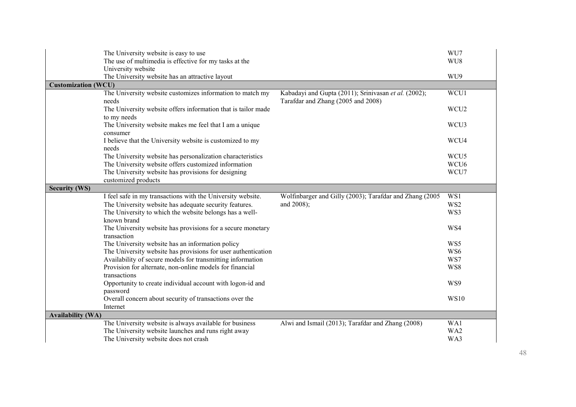|                            | The University website is easy to use<br>The use of multimedia is effective for my tasks at the |                                                                                            | WU7<br>WU8       |  |  |
|----------------------------|-------------------------------------------------------------------------------------------------|--------------------------------------------------------------------------------------------|------------------|--|--|
|                            | University website<br>The University website has an attractive layout                           |                                                                                            | WU9              |  |  |
| <b>Customization (WCU)</b> |                                                                                                 |                                                                                            |                  |  |  |
|                            | The University website customizes information to match my<br>needs                              | Kabadayi and Gupta (2011); Srinivasan et al. (2002);<br>Tarafdar and Zhang (2005 and 2008) | WCU1             |  |  |
|                            | The University website offers information that is tailor made                                   |                                                                                            | WCU <sub>2</sub> |  |  |
|                            | to my needs<br>The University website makes me feel that I am a unique<br>consumer              |                                                                                            | WCU3             |  |  |
|                            | I believe that the University website is customized to my<br>needs                              |                                                                                            | WCU4             |  |  |
|                            | The University website has personalization characteristics                                      |                                                                                            | WCU <sub>5</sub> |  |  |
|                            | The University website offers customized information                                            |                                                                                            | WCU <sub>6</sub> |  |  |
|                            | The University website has provisions for designing                                             |                                                                                            | WCU7             |  |  |
|                            | customized products                                                                             |                                                                                            |                  |  |  |
| <b>Security (WS)</b>       |                                                                                                 |                                                                                            |                  |  |  |
|                            | I feel safe in my transactions with the University website.                                     | Wolfinbarger and Gilly (2003); Tarafdar and Zhang (2005                                    | WS1              |  |  |
|                            | The University website has adequate security features.                                          | and 2008);                                                                                 | WS <sub>2</sub>  |  |  |
|                            | The University to which the website belongs has a well-                                         |                                                                                            | WS3              |  |  |
|                            | known brand                                                                                     |                                                                                            |                  |  |  |
|                            | The University website has provisions for a secure monetary<br>transaction                      |                                                                                            | WS4              |  |  |
|                            | The University website has an information policy                                                |                                                                                            | WS5              |  |  |
|                            | The University website has provisions for user authentication                                   |                                                                                            | WS6              |  |  |
|                            | Availability of secure models for transmitting information                                      |                                                                                            | WS7              |  |  |
|                            | Provision for alternate, non-online models for financial                                        |                                                                                            | WS8              |  |  |
|                            | transactions                                                                                    |                                                                                            |                  |  |  |
|                            | Opportunity to create individual account with logon-id and                                      |                                                                                            | WS9              |  |  |
|                            |                                                                                                 |                                                                                            |                  |  |  |
|                            | password                                                                                        |                                                                                            |                  |  |  |
|                            | Overall concern about security of transactions over the                                         |                                                                                            | <b>WS10</b>      |  |  |
|                            | Internet                                                                                        |                                                                                            |                  |  |  |
| <b>Availability (WA)</b>   | The University website is always available for business                                         | Alwi and Ismail (2013); Tarafdar and Zhang (2008)                                          | WA1              |  |  |
|                            | The University website launches and runs right away                                             |                                                                                            | WA2              |  |  |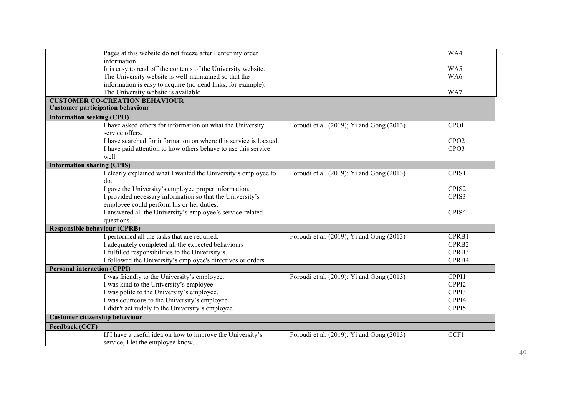|                                         | Pages at this website do not freeze after I enter my order                                                              |                                                        | WA4               |  |  |
|-----------------------------------------|-------------------------------------------------------------------------------------------------------------------------|--------------------------------------------------------|-------------------|--|--|
|                                         | information                                                                                                             |                                                        |                   |  |  |
|                                         | It is easy to read off the contents of the University website.<br>The University website is well-maintained so that the |                                                        | WA5<br>WA6        |  |  |
|                                         | information is easy to acquire (no dead links, for example).                                                            |                                                        |                   |  |  |
|                                         | The University website is available                                                                                     |                                                        | WA7               |  |  |
|                                         | <b>CUSTOMER CO-CREATION BEHAVIOUR</b>                                                                                   |                                                        |                   |  |  |
| <b>Customer participation behaviour</b> |                                                                                                                         |                                                        |                   |  |  |
| <b>Information seeking (CPO)</b>        |                                                                                                                         |                                                        |                   |  |  |
|                                         | I have asked others for information on what the University                                                              | Foroudi et al. (2019); Yi and Gong $\overline{(2013)}$ | <b>CPOI</b>       |  |  |
|                                         | service offers.                                                                                                         |                                                        |                   |  |  |
|                                         | I have searched for information on where this service is located.                                                       |                                                        | CPO2              |  |  |
|                                         | I have paid attention to how others behave to use this service                                                          |                                                        | CPO <sub>3</sub>  |  |  |
| well                                    |                                                                                                                         |                                                        |                   |  |  |
| <b>Information sharing (CPIS)</b>       |                                                                                                                         |                                                        |                   |  |  |
|                                         | I clearly explained what I wanted the University's employee to                                                          | Foroudi et al. (2019); Yi and Gong (2013)              | CPIS1             |  |  |
| do.                                     |                                                                                                                         |                                                        |                   |  |  |
|                                         | I gave the University's employee proper information.                                                                    |                                                        | CPIS <sub>2</sub> |  |  |
|                                         | I provided necessary information so that the University's                                                               |                                                        | CPIS3             |  |  |
|                                         | employee could perform his or her duties.                                                                               |                                                        |                   |  |  |
|                                         | I answered all the University's employee's service-related                                                              |                                                        | CPIS4             |  |  |
|                                         | questions.                                                                                                              |                                                        |                   |  |  |
| <b>Responsible behaviour (CPRB)</b>     |                                                                                                                         |                                                        |                   |  |  |
|                                         | I performed all the tasks that are required.                                                                            | Foroudi et al. (2019); Yi and Gong (2013)              | CPRB1             |  |  |
|                                         | I adequately completed all the expected behaviours                                                                      |                                                        | CPRB2             |  |  |
|                                         | I fulfilled responsibilities to the University's.                                                                       |                                                        | CPRB3             |  |  |
|                                         | I followed the University's employee's directives or orders.                                                            |                                                        | CPRB4             |  |  |
|                                         | <b>Personal interaction (CPPI)</b>                                                                                      |                                                        |                   |  |  |
|                                         | I was friendly to the University's employee.                                                                            | Foroudi et al. (2019); Yi and Gong (2013)              | CPPI1             |  |  |
|                                         | I was kind to the University's employee.                                                                                |                                                        | CPPI2             |  |  |
|                                         | I was polite to the University's employee.                                                                              |                                                        | CPPI3             |  |  |
|                                         | I was courteous to the University's employee.                                                                           |                                                        | CPPI4             |  |  |
|                                         | I didn't act rudely to the University's employee.                                                                       |                                                        | CPPI5             |  |  |
| Customer citizenship behaviour          |                                                                                                                         |                                                        |                   |  |  |
| <b>Feedback (CCF)</b>                   |                                                                                                                         |                                                        |                   |  |  |
|                                         | If I have a useful idea on how to improve the University's                                                              | Foroudi et al. (2019); Yi and Gong (2013)              | CCF1              |  |  |
|                                         | service, I let the employee know.                                                                                       |                                                        |                   |  |  |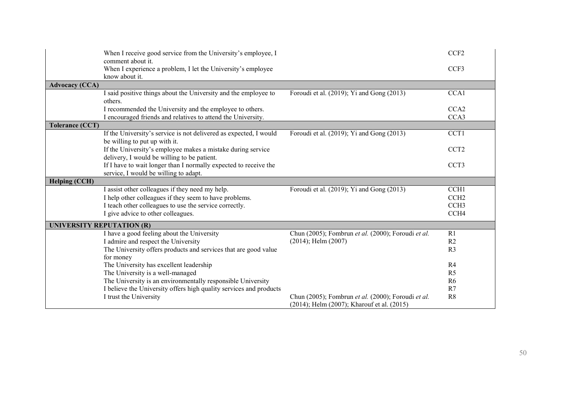|                                  | When I receive good service from the University's employee, I<br>comment about it.                         |                                                                                                  | CCF <sub>2</sub> |  |  |
|----------------------------------|------------------------------------------------------------------------------------------------------------|--------------------------------------------------------------------------------------------------|------------------|--|--|
|                                  | When I experience a problem, I let the University's employee<br>know about it.                             |                                                                                                  | CCF3             |  |  |
| <b>Advocacy (CCA)</b>            |                                                                                                            |                                                                                                  |                  |  |  |
|                                  | I said positive things about the University and the employee to<br>others.                                 | Foroudi et al. (2019); Yi and Gong (2013)                                                        | CCA1             |  |  |
|                                  | I recommended the University and the employee to others.                                                   |                                                                                                  | CCA2             |  |  |
|                                  | I encouraged friends and relatives to attend the University.                                               |                                                                                                  | CCA3             |  |  |
| <b>Tolerance (CCT)</b>           |                                                                                                            |                                                                                                  |                  |  |  |
|                                  | If the University's service is not delivered as expected, I would<br>be willing to put up with it.         | Foroudi et al. (2019); Yi and Gong (2013)                                                        | CCT1             |  |  |
|                                  | If the University's employee makes a mistake during service<br>delivery, I would be willing to be patient. |                                                                                                  | CCT <sub>2</sub> |  |  |
|                                  | If I have to wait longer than I normally expected to receive the<br>service, I would be willing to adapt.  |                                                                                                  | CCT <sub>3</sub> |  |  |
| <b>Helping (CCH)</b>             |                                                                                                            |                                                                                                  |                  |  |  |
|                                  | I assist other colleagues if they need my help.                                                            | Foroudi et al. (2019); Yi and Gong (2013)                                                        | CCH <sub>1</sub> |  |  |
|                                  | I help other colleagues if they seem to have problems.                                                     |                                                                                                  | CCH <sub>2</sub> |  |  |
|                                  | I teach other colleagues to use the service correctly.                                                     |                                                                                                  | CCH <sub>3</sub> |  |  |
|                                  | I give advice to other colleagues.                                                                         |                                                                                                  | CCH <sub>4</sub> |  |  |
| <b>UNIVERSITY REPUTATION (R)</b> |                                                                                                            |                                                                                                  |                  |  |  |
|                                  | I have a good feeling about the University                                                                 | Chun (2005); Fombrun et al. (2000); Foroudi et al.                                               | R1               |  |  |
|                                  | I admire and respect the University                                                                        | $(2014)$ ; Helm $(2007)$                                                                         | R <sub>2</sub>   |  |  |
|                                  | The University offers products and services that are good value                                            |                                                                                                  | R <sub>3</sub>   |  |  |
|                                  | for money                                                                                                  |                                                                                                  |                  |  |  |
|                                  | The University has excellent leadership                                                                    |                                                                                                  | R4               |  |  |
|                                  | The University is a well-managed                                                                           |                                                                                                  | R <sub>5</sub>   |  |  |
|                                  | The University is an environmentally responsible University                                                |                                                                                                  | R <sub>6</sub>   |  |  |
|                                  | I believe the University offers high quality services and products                                         |                                                                                                  | R7               |  |  |
|                                  | I trust the University                                                                                     | Chun (2005); Fombrun et al. (2000); Foroudi et al.<br>(2014); Helm (2007); Kharouf et al. (2015) | R <sub>8</sub>   |  |  |